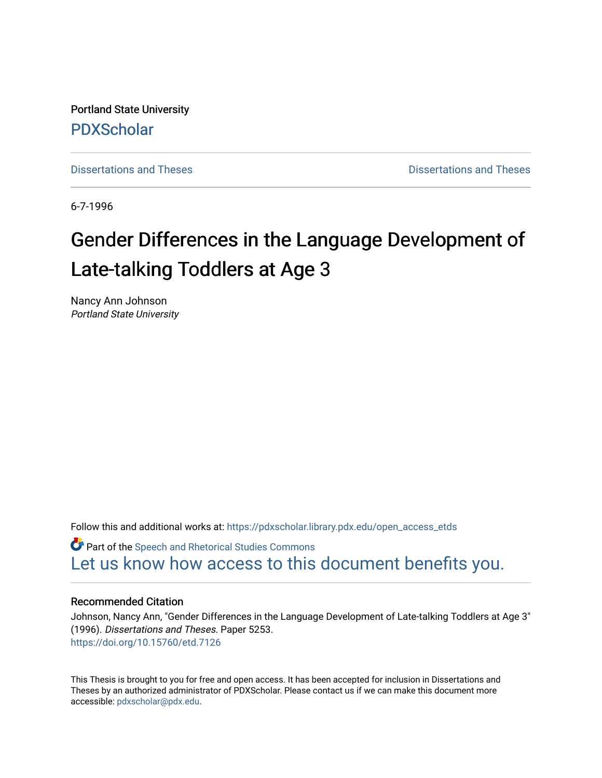Portland State University [PDXScholar](https://pdxscholar.library.pdx.edu/)

[Dissertations and Theses](https://pdxscholar.library.pdx.edu/open_access_etds) **Dissertations** and Theses **Dissertations and Theses** 

6-7-1996

# Gender Differences in the Language Development of Late-talking Toddlers at Age 3

Nancy Ann Johnson Portland State University

Follow this and additional works at: [https://pdxscholar.library.pdx.edu/open\\_access\\_etds](https://pdxscholar.library.pdx.edu/open_access_etds?utm_source=pdxscholar.library.pdx.edu%2Fopen_access_etds%2F5253&utm_medium=PDF&utm_campaign=PDFCoverPages)

**C** Part of the Speech and Rhetorical Studies Commons [Let us know how access to this document benefits you.](http://library.pdx.edu/services/pdxscholar-services/pdxscholar-feedback/) 

## Recommended Citation

Johnson, Nancy Ann, "Gender Differences in the Language Development of Late-talking Toddlers at Age 3" (1996). Dissertations and Theses. Paper 5253. <https://doi.org/10.15760/etd.7126>

This Thesis is brought to you for free and open access. It has been accepted for inclusion in Dissertations and Theses by an authorized administrator of PDXScholar. Please contact us if we can make this document more accessible: [pdxscholar@pdx.edu.](mailto:pdxscholar@pdx.edu)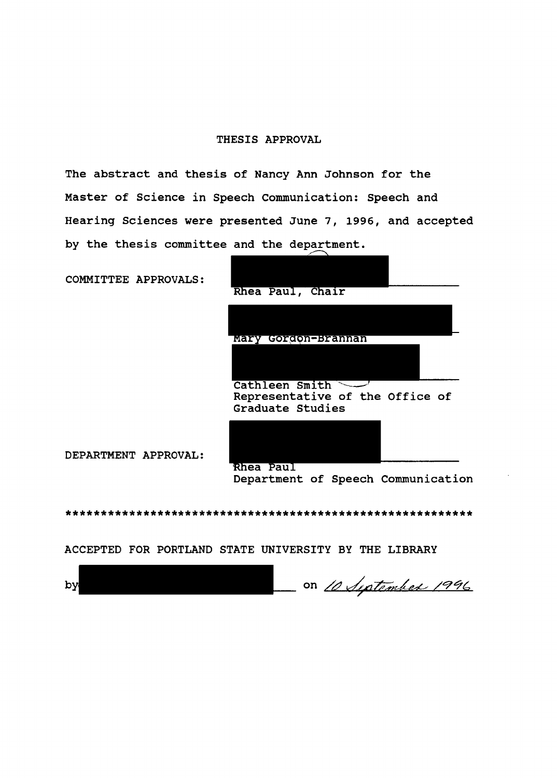## THESIS APPROVAL

The abstract and thesis of Nancy Ann Johnson for the Master of Science in Speech Communication: Speech and Hearing Sciences were presented June 7, 1996, and accepted by the thesis committee and the department.

COMMITTEE APPROVALS:



DEPARTMENT APPROVAL:

Department of Speech Communication

\*\*\*\*\*\*\*\*\*\*\*\*\*\*\*\*\*\*\*\*\*\*\*\*\*\*\*\*\*\*\*\*\*\*\*\*\*\*\*\*\*\*\*\*\*\*\*\*\*\*\*\*\*\*\*\*\*\*

ACCEPTED FOR PORTLAND STATE UNIVERSITY BY THE LIBRARY

on 10 September 1996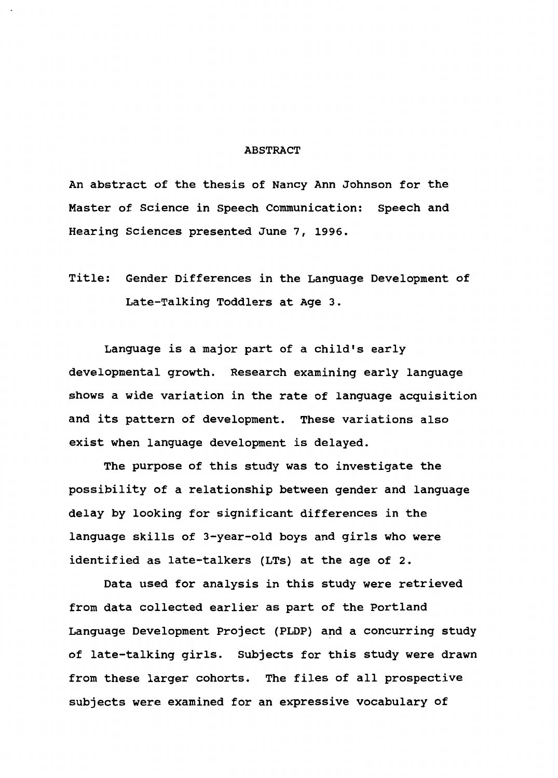#### ABSTRACT

An abstract of the thesis of Nancy Ann Johnson for the Master of Science in Speech Communication: Speech and Hearing Sciences presented June 7, 1996.

Title: Gender Differences in the Language Development of Late-Talking Toddlers at Age 3.

Language is a major part of a child's early developmental growth. Research examining early language shows a wide variation in the rate of language acquisition and its pattern of development. These variations also exist when language development is delayed.

The purpose of this study was to investigate the possibility of a relationship between gender and language delay by looking for significant differences in the language skills of 3-year-old boys and girls who were identified as late-talkers (LTs) at the age of 2.

Data used for analysis in this study were retrieved from data collected earlier as part of the Portland Language Development Project (PLDP) and a concurring study of late-talking girls. Subjects for this study were drawn from these larger cohorts. The files of all prospective subjects were examined for an expressive vocabulary of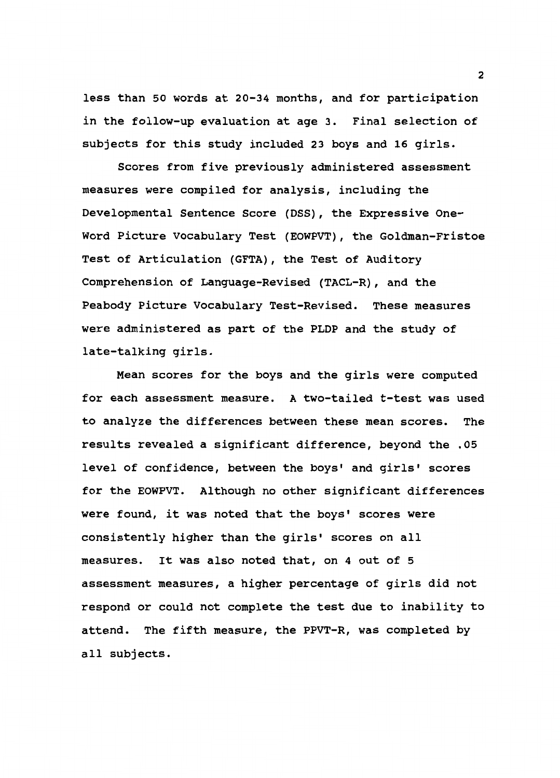less than 50 words at 20-34 months, and for participation in the follow-up evaluation at age 3. Final selection of subjects for this study included 23 boys and 16 girls.

Scores from five previously administered assessment measures were compiled for analysis, including the Developmental Sentence Score (DSS), the Expressive One-Word Picture Vocabulary Test (EOWPVT), the Goldman-Fristoe Test of Articulation (GFTA), the Test of Auditory Comprehension of Language-Revised {TACL-R), and the Peabody Picture Vocabulary Test-Revised. These measures were administered as part of the PLOP and the study of late-talking girls.

Mean scores for the boys and the girls were computed for each assessment measure. A two-tailed t-test was used to analyze the differences between these mean scores. The results revealed a significant difference, beyond the .05 level of confidence, between the boys' and girls' scores for the EOWPVT. Although no other significant differences were found, it was noted that the boys' scores were consistently higher than the girls' scores on all measures. It was also noted that, on 4 out of 5 assessment measures, a higher percentage of girls did not respond or could not complete the test due to inability to attend. The fifth measure, the PPVT-R, was completed by all subjects.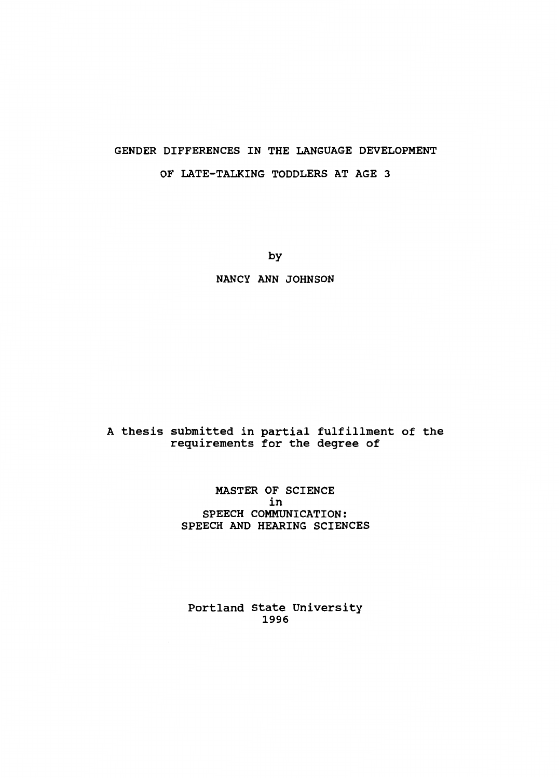# GENDER DIFFERENCES IN THE LANGUAGE DEVELOPMENT OF LATE-TALKING TODDLERS AT AGE 3

by

NANCY ANN JOHNSON

## A thesis submitted in partial fulfillment of the requirements for the degree of

## MASTER OF SCIENCE in SPEECH COMMUNICATION: SPEECH AND HEARING SCIENCES

Portland State University 1996

 $\cdot$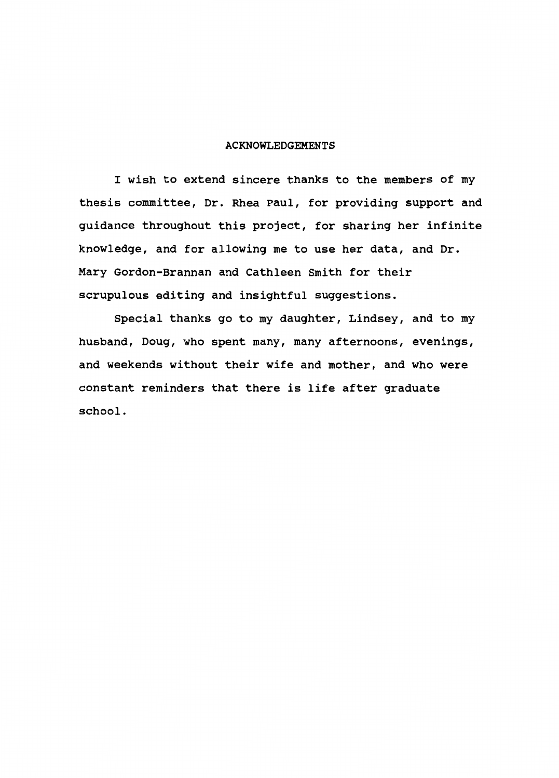#### ACKNOWLEDGEMENTS

I wish to extend sincere thanks to the members of my thesis committee, Dr. Rhea Paul, for providing support and guidance throughout this project, for sharing her infinite knowledge, and for allowing me to use her data, and Dr. Mary Gordon-Brannan and Cathleen Smith for their scrupulous editing and insightful suggestions.

Special thanks go to my daughter, Lindsey, and to my husband, Doug, who spent many, many afternoons, evenings, and weekends without their wife and mother, and who were constant reminders that there is life after graduate school.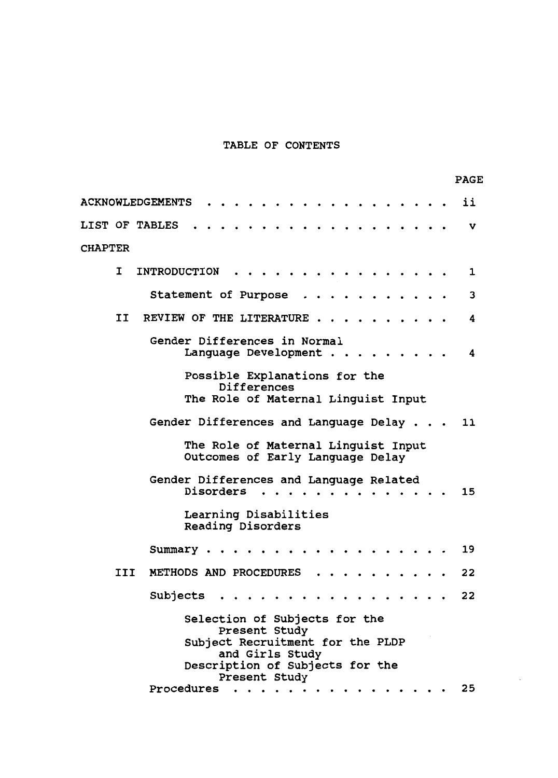# TABLE OF CONTENTS

|                |     | <b>PAGE</b>                                                                                                                                                                   |   |
|----------------|-----|-------------------------------------------------------------------------------------------------------------------------------------------------------------------------------|---|
|                |     | <b>ACKNOWLEDGEMENTS</b><br>ii                                                                                                                                                 |   |
|                |     | <b>LIST OF TABLES</b>                                                                                                                                                         | v |
| <b>CHAPTER</b> |     |                                                                                                                                                                               |   |
|                | I   | <b>INTRODUCTION</b><br>1                                                                                                                                                      |   |
|                |     | Statement of Purpose<br>3                                                                                                                                                     |   |
|                | II  | REVIEW OF THE LITERATURE.<br>4                                                                                                                                                |   |
|                |     | Gender Differences in Normal<br>Language Development<br>4                                                                                                                     |   |
|                |     | Possible Explanations for the<br>Differences<br>The Role of Maternal Linguist Input                                                                                           |   |
|                |     | Gender Differences and Language Delay<br>11                                                                                                                                   |   |
|                |     | The Role of Maternal Linguist Input<br>Outcomes of Early Language Delay                                                                                                       |   |
|                |     | Gender Differences and Language Related<br>Disorders<br>15                                                                                                                    |   |
|                |     | Learning Disabilities<br>Reading Disorders                                                                                                                                    |   |
|                |     | 19<br>Summary.                                                                                                                                                                |   |
|                | III | METHODS AND PROCEDURES<br>22                                                                                                                                                  |   |
|                |     | 22<br>Subjects                                                                                                                                                                |   |
|                |     | Selection of Subjects for the<br>Present Study<br>Subject Recruitment for the PLDP<br>and Girls Study<br>Description of Subjects for the<br>Present Study<br>25<br>Procedures |   |
|                |     |                                                                                                                                                                               |   |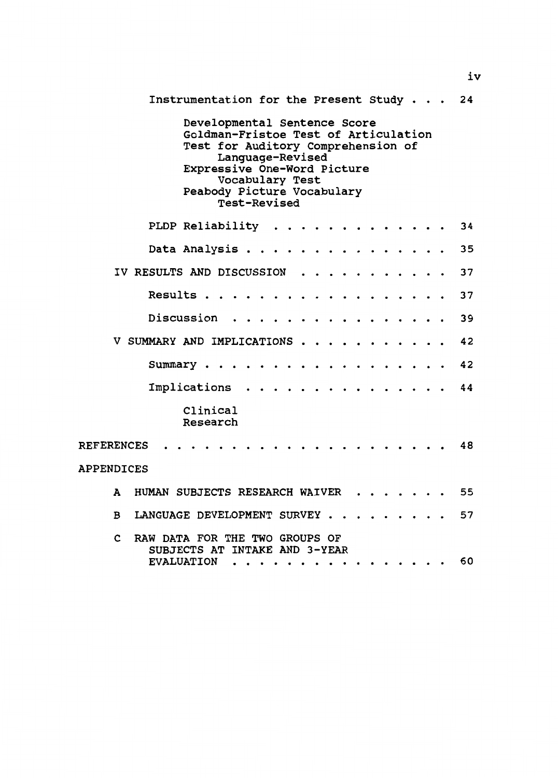Instrumentation for the Present Study . . . 24 Developmental Sentence Score Goldman-Fristoe Test of Articulation Test for Auditory Comprehension of Language-Revised Expressive One-Word Picture Vocabulary Test Peabody Picture Vocabulary Test-Revised PLDP Reliability . . . . . . . . . . . . 34 35 Data Analysis . . . . . . . . . . . . . . . IV RESULTS AND DISCUSSION . . . . . . . 37  $\bullet$  $\bullet$ Results . . . . . . . . . . . . . . 37  $\ddot{\phantom{a}}$ Discussion . . . . . . . . . . . 39  $\ddot{\phantom{a}}$ V SUMMARY AND IMPLICATIONS . 42 42 Summary • . • .  $\bullet$ Implications . . . . . . . . . . . . . . . 44 Clinical Research REFERENCES 48 APPENDICES A HUMAN SUBJECTS RESEARCH WAIVER 55 B LANGUAGE DEVELOPMENT SURVEY . . . . . . . . . 57 c RAW DATA FOR THE TWO GROUPS OF SUBJECTS AT INTAKE AND 3-YEAR 60 EVALUATION . . . . . . . . . . . . . . . .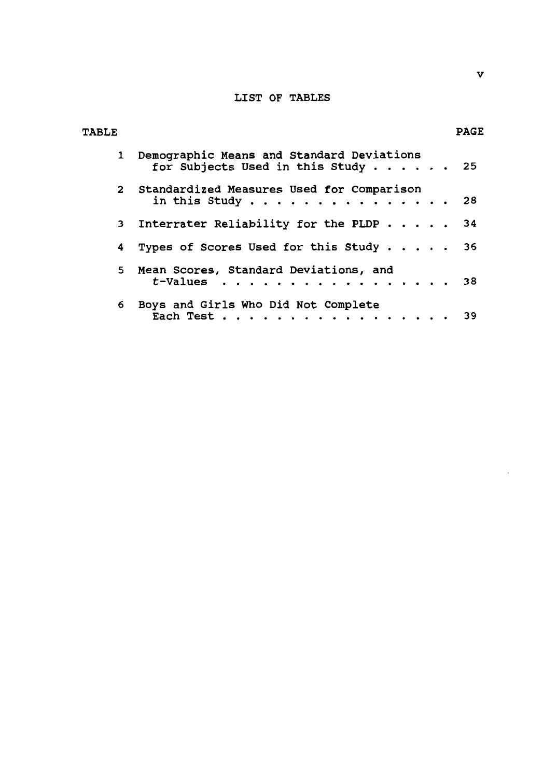## LIST OF TABLES

| <b>TABLE</b>   |                                                                                   | <b>PAGE</b> |
|----------------|-----------------------------------------------------------------------------------|-------------|
|                | 1 Demographic Means and Standard Deviations<br>for Subjects Used in this Study 25 |             |
|                | 2 Standardized Measures Used for Comparison<br>in this Study                      | -28         |
| 3 <sup>7</sup> | Interrater Reliability for the PLDP 34                                            |             |
| 4              | Types of Scores Used for this Study $\ldots$                                      | 36          |
| 5              | Mean Scores, Standard Deviations, and<br>$t$ -Values 38                           |             |
| 6              | Boys and Girls Who Did Not Complete<br>Each Test                                  | 39          |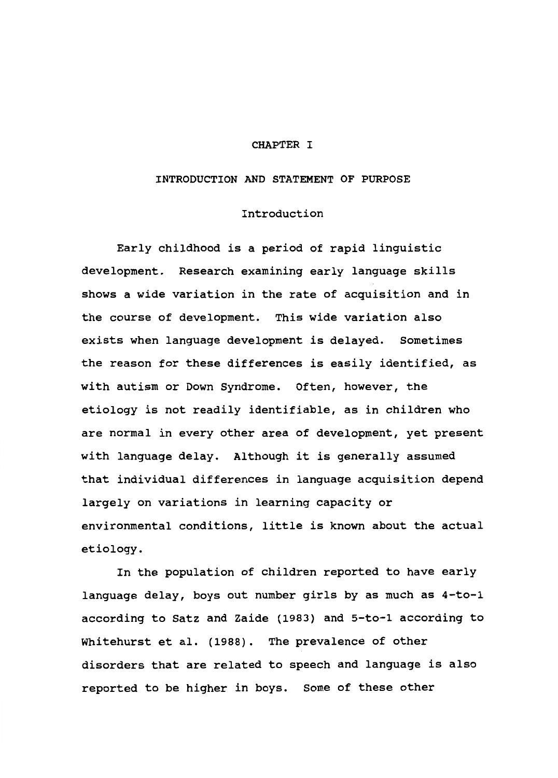#### CHAPTER I

#### INTRODUCTION AND STATEMENT OF PURPOSE

## Introduction

Early childhood is a period of rapid linguistic development. Research examining early language skills shows a wide variation in the rate of acquisition and in the course of development. This wide variation also exists when language development is delayed. Sometimes the reason for these differences is easily identified, as with autism or Down Syndrome. Often, however, the etiology is not readily identifiable, as in children who are normal in every other area of development, yet present with language delay. Although it is generally assumed that individual differences in language acquisition depend largely on variations in learning capacity or environmental conditions, little is known about the actual etiology.

In the population of children reported to have early language delay, boys out number girls by as much as 4-to-1 according to Satz and Zaide (1983) and 5-to-1 according to Whitehurst et al. (1988). The prevalence of other disorders that are related to speech and language is also reported to be higher in boys. Some of these other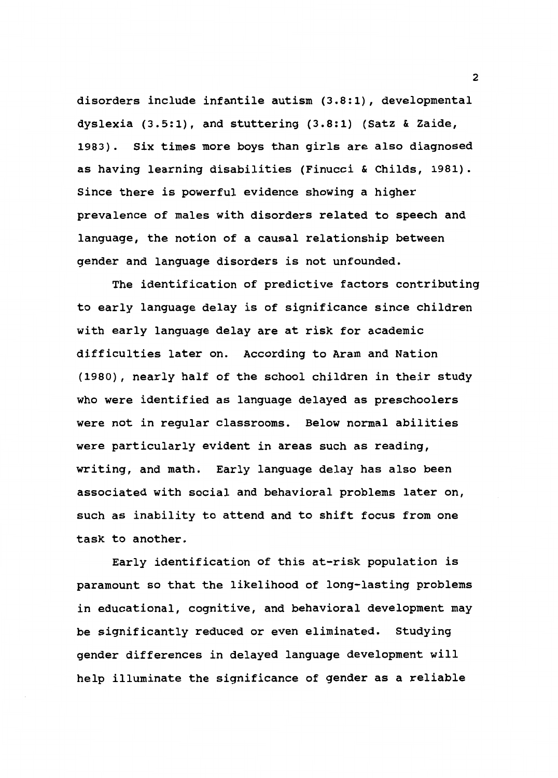disorders include infantile autism (3.8:1), developmental dyslexia (3.5:1), and stuttering (3.8:1) (Satz & Zaide, 1983). Six times more boys than girls are also diagnosed as having learning disabilities (Finucci & Childs, 1981). Since there is powerful evidence showing a higher prevalence of males with disorders related to speech and language, the notion of a causal relationship between gender and language disorders is not unfounded.

The identification of predictive factors contributing to early language delay is of significance since children with early language delay are at risk for academic difficulties later on. According to Aram and Nation (1980), nearly half of the school children in their study who were identified as language delayed as preschoolers were not in regular classrooms. Below normal abilities were particularly evident in areas such as reading, writing, and math. Early language delay has also been associated with social and behavioral problems later on, such as inability to attend and to shift focus from one task to another.

Early identification of this at-risk population is paramount so that the likelihood of long-lasting problems in educational, cognitive, and behavioral development may be significantly reduced or even eliminated. studying gender differences in delayed language development will help illuminate the significance of gender as a reliable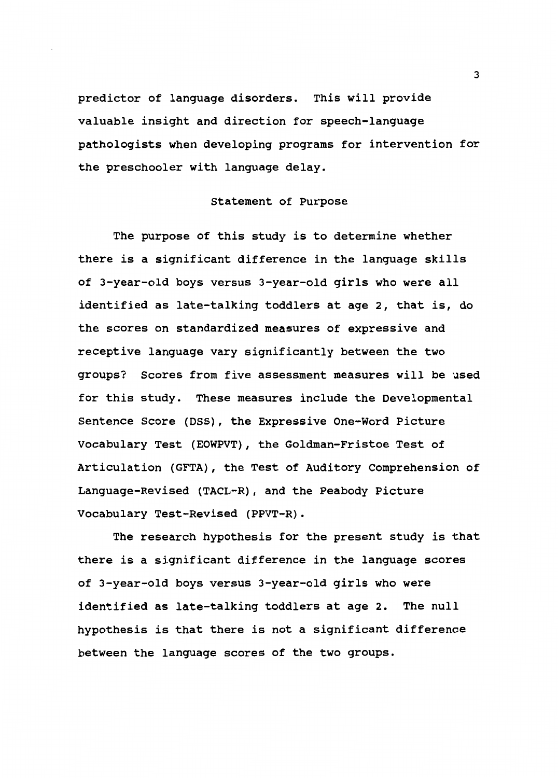predictor of language disorders. This will provide valuable insight and direction for speech-language pathologists when developing programs for intervention for the preschooler with language delay.

## Statement of Purpose

The purpose of this study is to determine whether there is a significant difference in the language skills of 3-year-old boys versus 3-year-old girls who were all identified as late-talking toddlers at age 2, that is, do the scores on standardized measures of expressive and receptive language vary significantly between the two groups? Scores from five assessment measures will be used for this study. These measures include the Developmental Sentence Score (DSS), the Expressive One-Word Picture Vocabulary Test (EOWPVT), the Goldman-Fristoe Test of Articulation (GFTA), the Test of Auditory Comprehension of Language-Revised (TACL-R), and the Peabody Picture Vocabulary Test-Revised (PPVT-R).

The research hypothesis for the present study is that there is a significant difference in the language scores of 3-year-old boys versus 3-year-old girls who were identified as late-talking toddlers at age 2. The null hypothesis is that there is not a significant difference between the language scores of the two groups.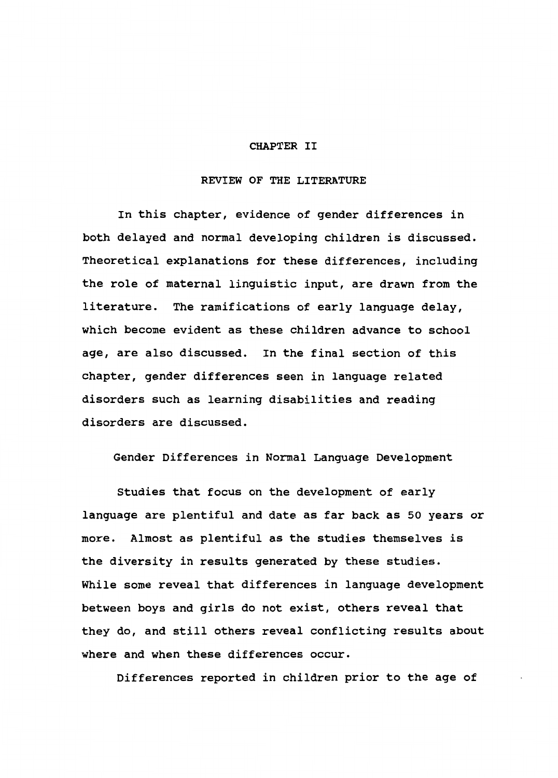#### CHAPTER II

## REVIEW OF THE LITERATURE

In this chapter, evidence of gender differences in both delayed and normal developing children is discussed. Theoretical explanations for these differences, including the role of maternal linguistic input, are drawn from the literature. The ramifications of early language delay, which become evident as these children advance to school age, are also discussed. In the final section of this chapter, gender differences seen in language related disorders such as learning disabilities and reading disorders are discussed.

Gender Differences in Normal Language Development

Studies that focus on the development of early language are plentiful and date as far back as 50 years or more. Almost as plentiful as the studies themselves is the diversity in results generated by these studies. While some reveal that differences in language development between boys and girls do not exist, others reveal that they do, and still others reveal conflicting results about where and when these differences occur.

Differences reported in children prior to the age of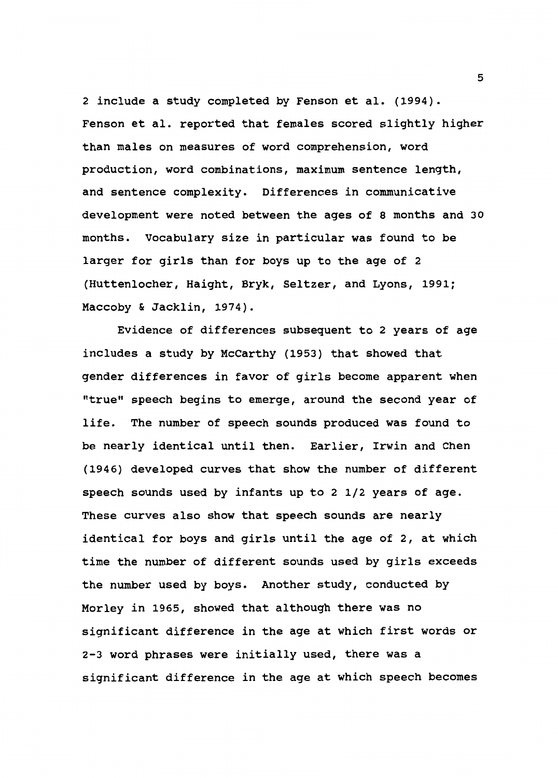2 include a study completed by Fenson et al. (1994). Fenson et al. reported that females scored slightly higher than males on measures of word comprehension, word production, word combinations, maximum sentence length, and sentence complexity. Differences in communicative development were noted between the ages of 8 months and 30 months. Vocabulary size in particular was found to be larger for girls than for boys up to the age of 2 (Huttenlocher, Haight, Bryk, Seltzer, and Lyons, 1991; Maccoby & Jacklin, 1974).

Evidence of differences subsequent to 2 years of age includes a study by McCarthy (1953) that showed that gender differences in favor of girls become apparent when "true" speech begins to emerge, around the second year of life. The number of speech sounds produced was found to be nearly identical until then. Earlier, Irwin and Chen (1946) developed curves that show the number of different speech sounds used by infants up to 2 1/2 years of age. These curves also show that speech sounds are nearly identical for boys and girls until the age of 2, at which time the number of different sounds used by girls exceeds the number used by boys. Another study, conducted by Morley in 1965, showed that although there was no significant difference in the age at which first words or 2-3 word phrases were initially used, there was a significant difference in the age at which speech becomes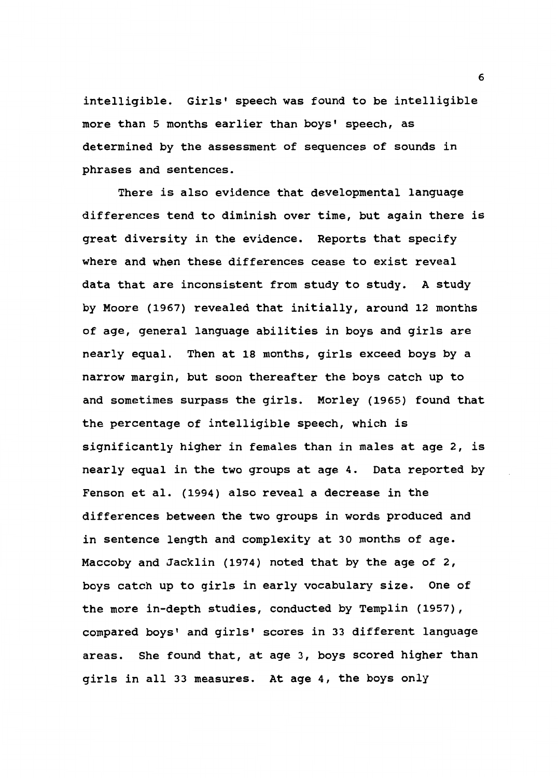intelligible. Girls' speech was found to be intelligible more than 5 months earlier than boys' speech, as determined by the assessment of sequences of sounds in phrases and sentences.

There is also evidence that developmental language differences tend to diminish over time, but again there is great diversity in the evidence. Reports that specify where and when these differences cease to exist reveal data that are inconsistent from study to study. A study by Moore (1967) revealed that initially, around 12 months of age, general language abilities in boys and girls are nearly equal. Then at 18 months, girls exceed boys by a narrow margin, but soon thereafter the boys catch up to and sometimes surpass the girls. Morley {1965) found that the percentage of intelligible speech, which is significantly higher in females than in males at age 2, is nearly equal in the two groups at age 4. Data reported by Fenson et al. {1994) also reveal a decrease in the differences between the two groups in words produced and in sentence length and complexity at 30 months of age. Maccoby and Jacklin {1974) noted that by the age of 2, boys catch up to girls in early vocabulary size. One of the more in-depth studies, conducted by Templin (1957), compared boys' and girls' scores in 33 different language areas. She found that, at age 3, boys scored higher than girls in all 33 measures. At age 4, the boys only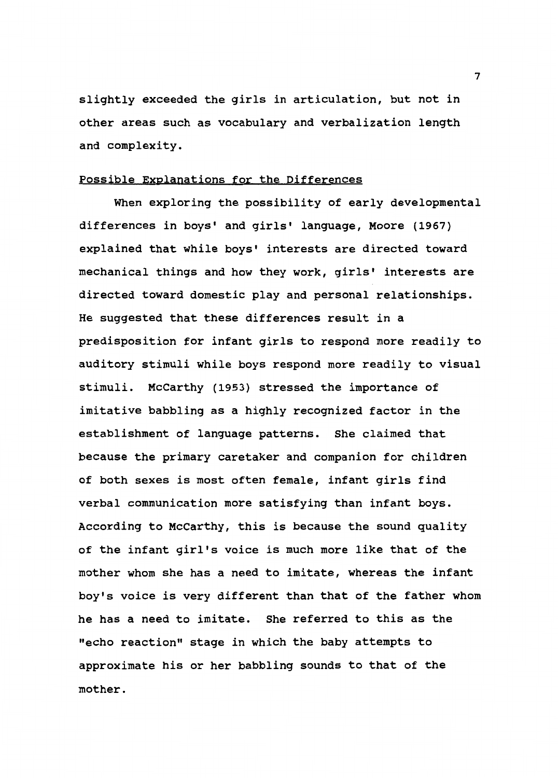slightly exceeded the girls in articulation, but not in other areas such as vocabulary and verbalization length and complexity.

## Possible Explanations for the Differences

When exploring the possibility of early developmental differences in boys' and girls' language, Moore (1967) explained that while boys' interests are directed toward mechanical things and how they work, girls' interests are directed toward domestic play and personal relationships. He suggested that these differences result in a predisposition for infant girls to respond more readily to auditory stimuli while boys respond more readily to visual stimuli. McCarthy (1953) stressed the importance of imitative babbling as a highly recognized factor in the establishment of language patterns. She claimed that because the primary caretaker and companion for children of both sexes is most often female, infant girls find verbal communication more satisfying than infant boys. According to McCarthy, this is because the sound quality of the infant girl's voice is much more like that of the mother whom she has a need to imitate, whereas the infant boy's voice is very different than that of the father whom he has a need to imitate. She referred to this as the "echo reaction" stage in which the baby attempts to approximate his or her babbling sounds to that of the mother.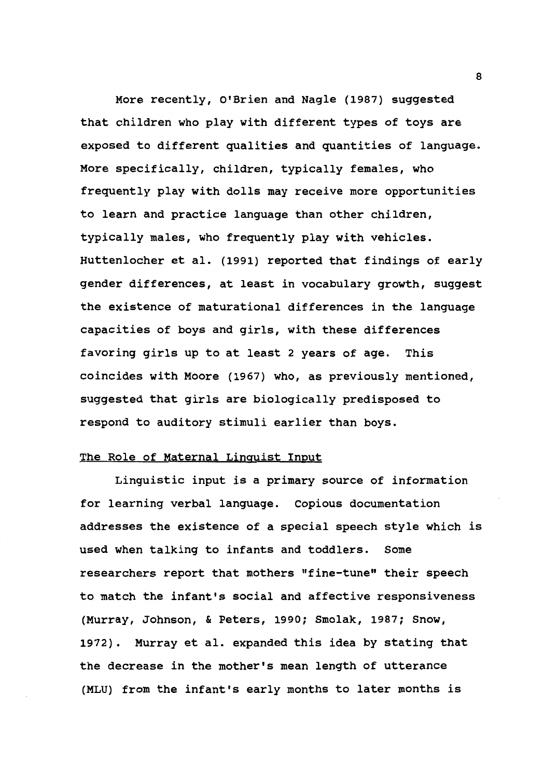More recently, O'Brien and Nagle (1987) suggested that children who play with different types of toys are exposed to different qualities and quantities of language. More specifically, children, typically females, who frequently play with dolls may receive more opportunities to learn and practice language than other children, typically males, who frequently play with vehicles. Huttenlocher et al. (1991) reported that findings of early gender differences, at least in vocabulary growth, suggest the existence of maturational differences in the language capacities of boys and girls, with these differences favoring girls up to at least 2 years of age. This coincides with Moore (1967) who, as previously mentioned, suggested that girls are biologically predisposed to respond to auditory stimuli earlier than boys.

## The Role of Maternal Linguist Input

Linguistic input is a primary source of information for learning verbal language. Copious documentation addresses the existence of a special speech style which is used when talking to infants and toddlers. Some researchers report that mothers "fine-tune" their speech to match the infant's social and affective responsiveness (Murray, Johnson, & Peters, 1990; Smolak, 1987; Snow, 1972). Murray et al. expanded this idea by stating that the decrease in the mother's mean length of utterance (MLU) from the infant's early months to later months is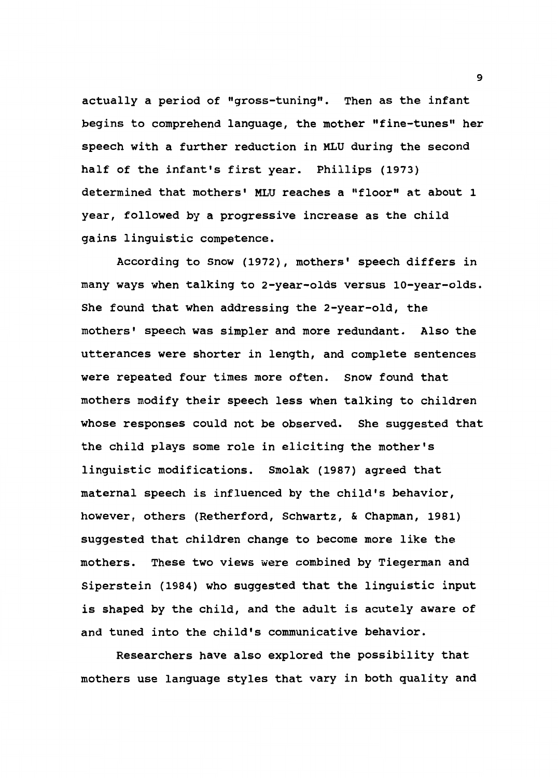actually a period of "gross-tuning". Then as the infant begins to comprehend language, the mother "fine-tunes" her speech with a further reduction in MLU during the second half of the infant's first year. Phillips (1973) determined that mothers' MLU reaches a "floor" at about 1 year, followed by a progressive increase as the child gains linguistic competence.

According to Snow (1972), mothers' speech differs in many ways when talking to 2-year-olds versus 10-year-olds. She found that when addressing the 2-year-old, the mothers' speech was simpler and more redundant. Also the utterances were shorter in length, and complete sentences were repeated four times more often. Snow found that mothers modify their speech less when talking to children whose responses could not be observed. She suggested that the child plays some role in eliciting the mother's linguistic modifications. Smolak (1987) agreed that maternal speech is influenced by the child's behavior, however, others (Retherford, Schwartz, & Chapman, 1981) suggested that children change to become more like the mothers. These two views were combined by Tiegerman and Siperstein (1984) who suggested that the linguistic input is shaped by the child, and the adult is acutely aware of and tuned into the child's communicative behavior.

Researchers have also explored the possibility that mothers use language styles that vary in both quality and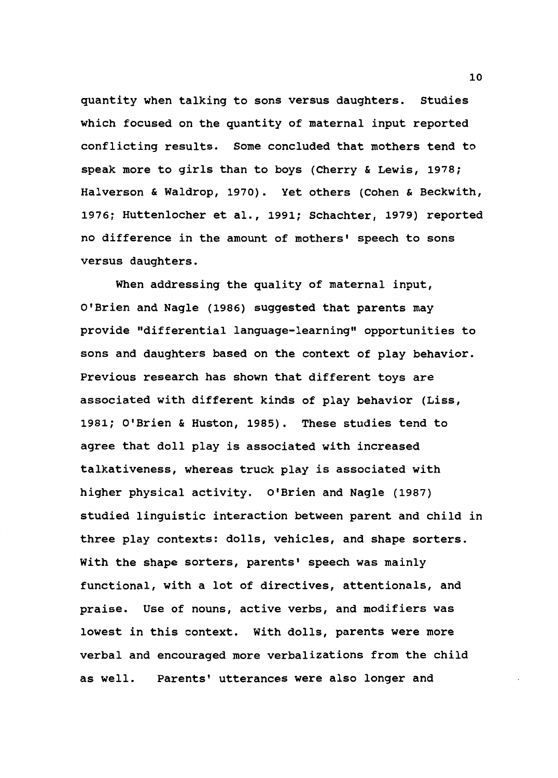quantity when talking to sons versus daughters. Studies which focused on the quantity of maternal input reported conflicting results. Some concluded that mothers tend to speak more to girls than to boys (Cherry & Lewis, 1978; Halverson & Waldrop, 1970). Yet others (Cohen & Beckwith, 1976; Huttenlocher et al., 1991; Schachter, 1979) reported no difference in the amount of mothers' speech to sons versus daughters.

When addressing the quality of maternal input, O'Brien and Nagle (1986) suggested that parents may provide "differential language-learning" opportunities to sons and daughters based on the context of play behavior. Previous research has shown that different toys are associated with different kinds of play behavior (Liss, 1981; O'Brien & Huston, 1985). These studies tend to agree that doll play is associated with increased talkativeness, whereas truck play is associated with higher physical activity. O'Brien and Nagle (1987) studied linguistic interaction between parent and child in three play contexts: dolls, vehicles, and shape sorters. With the shape sorters, parents' speech was mainly functional, with a lot of directives, attentionals, and praise. Use of nouns, active verbs, and modifiers was lowest in this context. With dolls, parents were more verbal and encouraged more verbalizations from the child as well. Parents' utterances were also longer and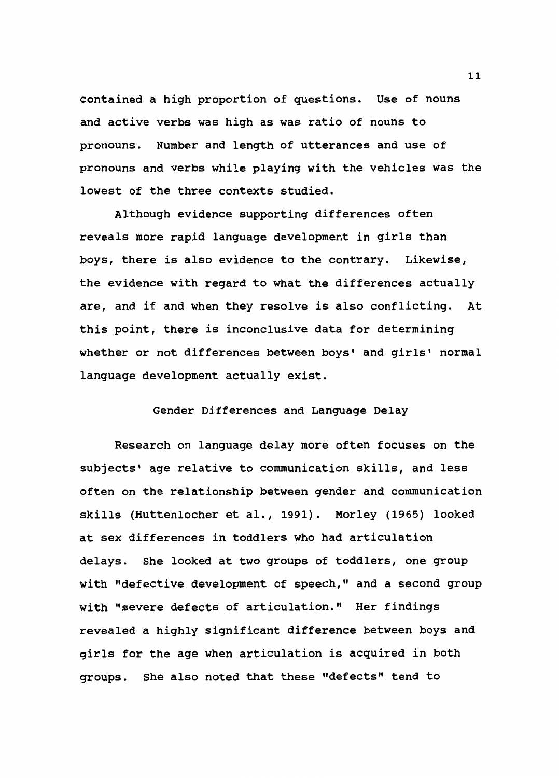contained a high proportion of questions. Use of nouns and active verbs was high as was ratio of nouns to pronouns. Number and length of utterances and use of pronouns and verbs while playing with the vehicles was the lowest of the three contexts studied.

Although evidence supporting differences often reveals more rapid language development in girls than boys, there is also evidence to the contrary. Likewise, the evidence with regard to what the differences actually are, and if and when they resolve is also conflicting. At this point, there is inconclusive data for determining whether or not differences between boys' and girls' normal language development actually exist.

Gender Differences and Language Delay

Research on language delay more often focuses on the subjects' age relative to communication skills, and less often on the relationship between gender and communication skills (Huttenlocher et al., 1991). Morley (1965) looked at sex differences in toddlers who had articulation delays. She looked at two groups of toddlers, one group with "defective development of speech," and a second group with "severe defects of articulation." Her findings revealed a highly significant difference between boys and girls for the age when articulation is acquired in both groups. She also noted that these "defects" tend to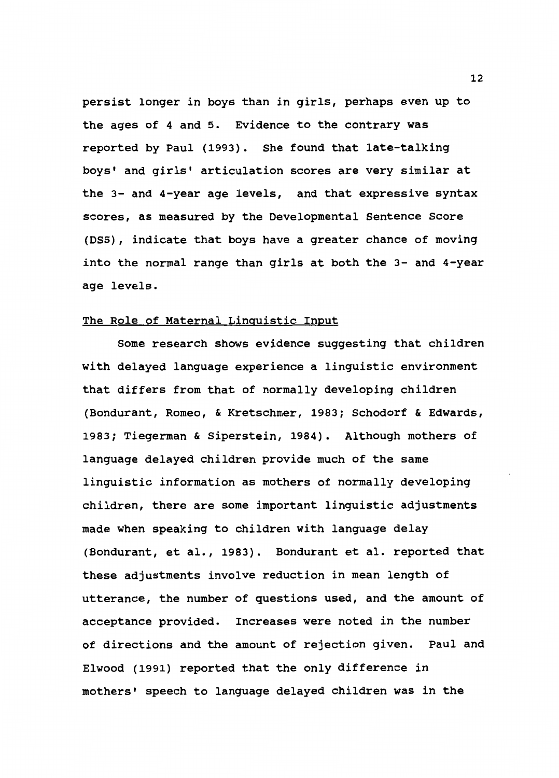persist longer in boys than in girls, perhaps even up to the ages of 4 and 5. Evidence to the contrary was reported by Paul (1993). She found that late-talking boys' and girls' articulation scores are very similar at the 3- and 4-year age levels, and that expressive syntax scores, as measured by the Developmental Sentence Score (DSS) , indicate that boys have a greater chance of moving into the normal range than girls at both the 3- and 4-year age levels.

## The Role of Maternal Linguistic Input

Some research shows evidence suggesting that children with delayed language experience a linguistic environment that differs from that of normally developing children (Bondurant, Romeo, & Kretschmer, 1983; Schodorf & Edwards, 1983; Tiegerman & Siperstein, 1984). Although mothers of language delayed children provide much of the same linguistic information as mothers of normally developing children, there are some important linguistic adjustments made when speaking to children with language delay (Bondurant, et al., 1983). Bondurant et al. reported that these adjustments involve reduction in mean length of utterance, the number of questions used, and the amount of acceptance provided. Increases were noted in the number of directions and the amount of rejection given. Paul and Elwood (1991) reported that the only difference in mothers' speech to language delayed children was in the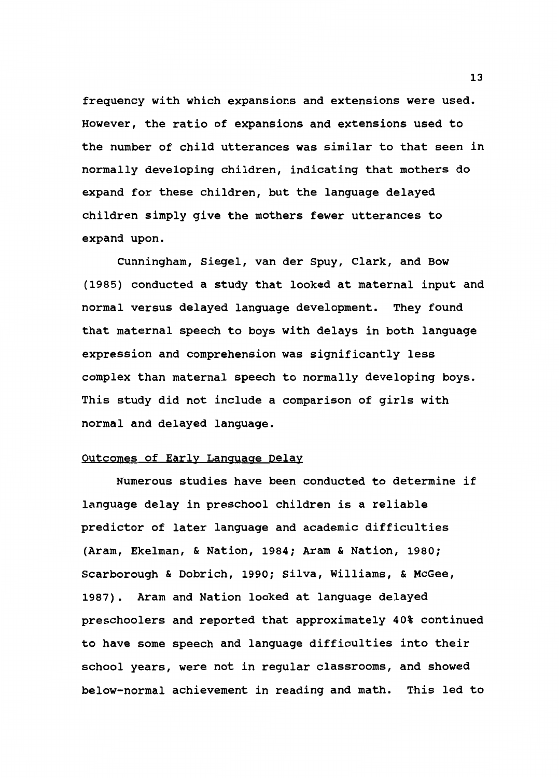frequency with which expansions and extensions were used. However, the ratio of expansions and extensions used to the number of child utterances was similar to that seen in normally developing children, indicating that mothers do expand for these children, but the language delayed children simply give the mothers fewer utterances to expand upon.

Cunningham, Siegel, van der Spuy, Clark, and Bow (1985) conducted a study that looked at maternal input and normal versus delayed language development. They found that maternal speech to boys with delays in both language expression and comprehension was significantly less complex than maternal speech to normally developing boys. This study did not include a comparison of girls with normal and delayed language.

#### Outcomes of Early Language Delay

Numerous studies have been conducted to determine if language delay in preschool children is a reliable predictor of later language and academic difficulties (Aram, Ekelman, & Nation, 1984; Aram & Nation, 1980; Scarborough & Dobrich, 1990; Silva, Williams, & McGee, 1987). Aram and Nation looked at language delayed preschoolers and reported that approximately 40% continued to have some speech and language difficulties into their school years, were not in regular classrooms, and showed below-normal achievement in reading and math. This led to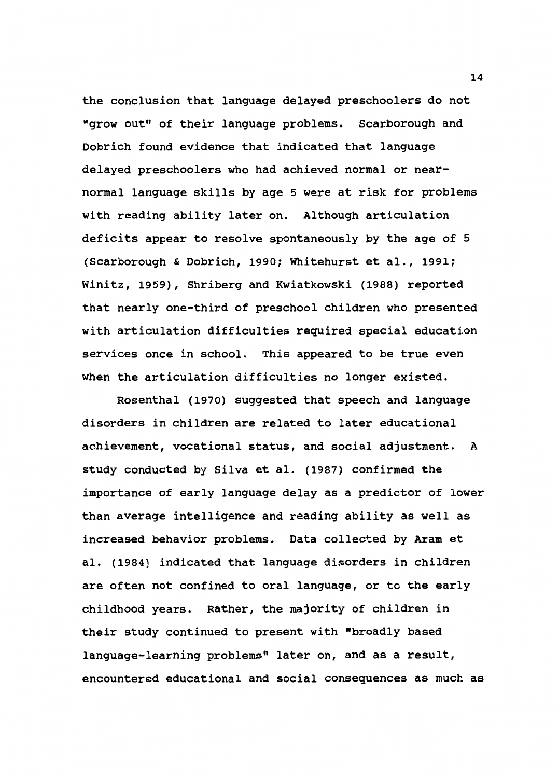the conclusion that language delayed preschoolers do not "grow out" of their language problems. Scarborough and Dobrich found evidence that indicated that language delayed preschoolers who had achieved normal or nearnormal language skills by age 5 were at risk for problems with reading ability later on. Although articulation deficits appear to resolve spontaneously by the age of 5 (Scarborough & Dobrich, 1990; Whitehurst et al., 1991; Winitz, 1959), Shriberg and Kwiatkowski (1988) reported that nearly one-third of preschool children who presented with articulation difficulties required special education services once in school. This appeared to be true even when the articulation difficulties no longer existed.

Rosenthal (1970) suggested that speech and language disorders in children are related to later educational achievement, vocational status, and social adjustment. A study conducted by Silva et al. (1987) confirmed the importance of early language delay as a predictor of lower than average intelligence and reading ability as well as increased behavior problems. Data collected by Aram et al. {1984) indicated that language disorders in children are often not confined to oral language, or to the early childhood years. Rather, the majority of children in their study continued to present with "broadly based language-learning problems" later on, and as a result, encountered educational and social consequences as much as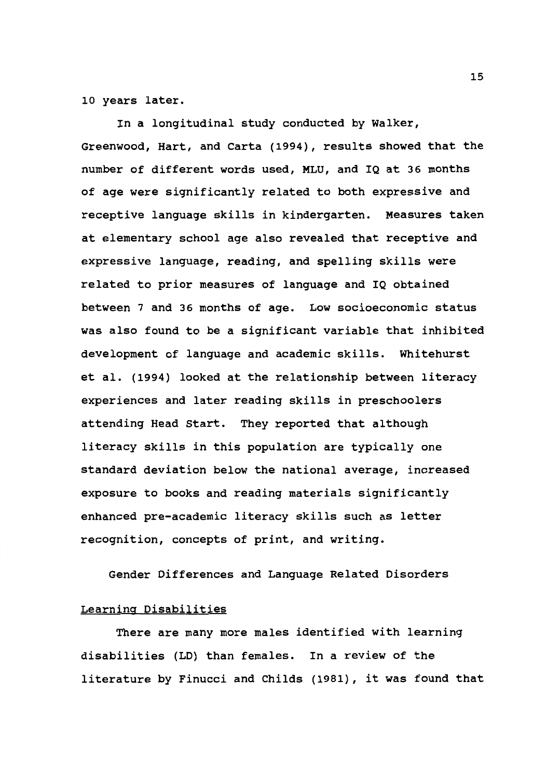10 years later.

In a longitudinal study conducted by Walker, Greenwood, Hart, and Carta (1994), results showed that the number of different words used, MLU, and IQ at 36 months of age were significantly related to both expressive and receptive language skills in kindergarten. Measures taken at elementary school age also revealed that receptive and expressive language, reading, and spelling skills were related to prior measures of language and IQ obtained between 7 and 36 months of age. Low socioeconomic status was also found to be a significant variable that inhibited development of language and academic skills. Whitehurst et al. (1994) looked at the relationship between literacy experiences and later reading skills in preschoolers attending Head Start. They reported that although literacy skills in this population are typically one standard deviation below the national average, increased exposure to books and reading materials significantly enhanced pre-academic literacy skills such as letter recognition, concepts of print, and writing.

Gender Differences and Language Related Disorders

## Learning Disabilities

There are many more males identified with learning disabilities (LO) than females. In a review of the literature by Finucci and Childs (1981), it was found that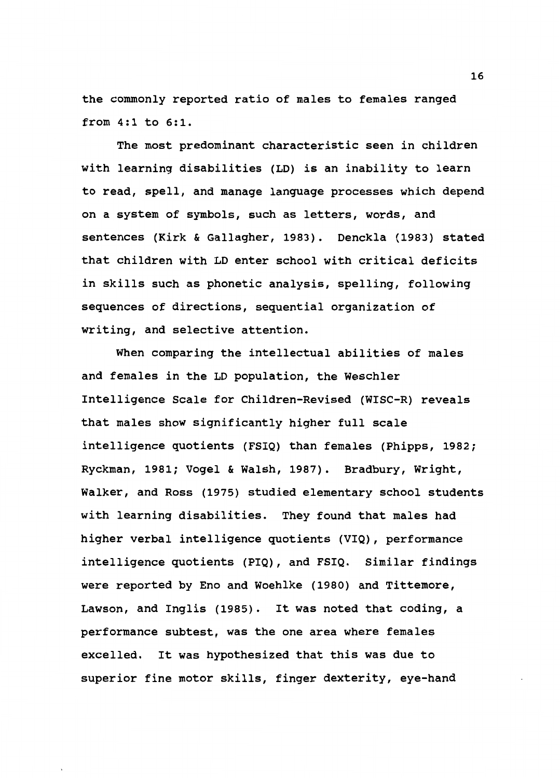the commonly reported ratio of males to females ranged from 4:1 to 6:1.

The most predominant characteristic seen in children with learning disabilities (LD) is an inability to learn to read, spell, and manage language processes which depend on a system of symbols, such as letters, words, and sentences (Kirk & Gallagher, 1983). Denckla (1983) stated that children with LD enter school with critical deficits in skills such as phonetic analysis, spelling, following sequences of directions, sequential organization of writing, and selective attention.

When comparing the intellectual abilities of males and females in the LD population, the Weschler Intelligence Scale for Children-Revised (WISC-R) reveals that males show significantly higher full scale intelligence quotients (FSIQ) than females (Phipps, 1982; Ryckman, 1981; Vogel & Walsh, 1987). Bradbury, Wright, Walker, and Ross (1975) studied elementary school students with learning disabilities. They found that males had higher verbal intelligence quotients (VIQ), performance intelligence quotients (PIQ), and FSIQ. Similar findings were reported by Eno and Woehlke (1980) and Tittemore, Lawson, and Inglis (1985). It was noted that coding, a performance subtest, was the one area where females excelled. It was hypothesized that this was due to superior fine motor skills, finger dexterity, eye-hand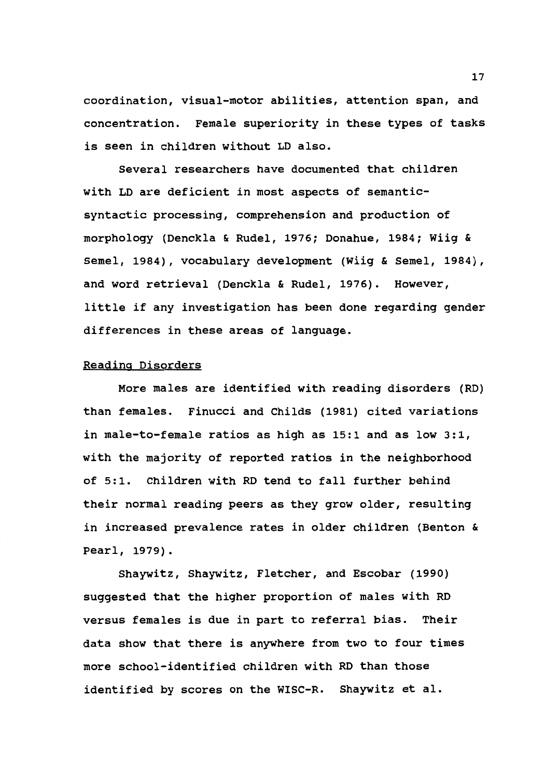coordination, visual-motor abilities, attention span, and concentration. Female superiority in these types of tasks is seen in children without LD also.

Several researchers have documented that children with LD are deficient in most aspects of semanticsyntactic processing, comprehension and production of morphology (Denckla & Rudel, 1976; Donahue, 1984; Wiig & Semel, 1984), vocabulary development (Wiig & Semel, 1984), and word retrieval (Denckla & Rudel, 1976). However, little if any investigation has been done regarding gender differences in these areas of language.

#### Reading Disorders

More males are identified with reading disorders (RD) than females. Finucci and Childs (1981) cited variations in male-to-female ratios as high as 15:1 and as low 3:1, with the majority of reported ratios in the neighborhood of 5:1. Children with RD tend to fall further behind their normal reading peers as they grow older, resulting in increased prevalence rates in older children (Benton & Pearl, 1979).

Shaywitz, Shaywitz, Fletcher, and Escobar (1990) suggested that the higher proportion of males with RD versus females is due in part to referral bias. Their data show that there is anywhere from two to four times more school-identified children with RD than those identified by scores on the WISC-R. Shaywitz et al.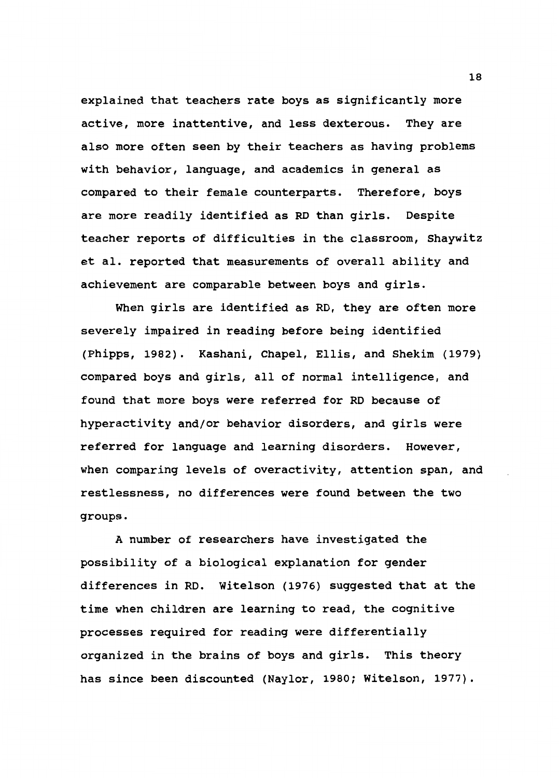explained that teachers rate boys as significantly more active, more inattentive, and less dexterous. They are also more often seen by their teachers as having problems with behavior, language, and academics in general as compared to their female counterparts. Therefore, boys are more readily identified as RD than girls. Despite teacher reports of difficulties in the classroom, Shaywitz et al. reported that measurements of overall ability and achievement are comparable between boys and girls.

When girls are identified as RD, they are often more severely impaired in reading before being identified (Phipps, 1982). Kashani, Chapel, Ellis, and Shekim (1979) compared boys and girls, all of normal intelligence, and found that more boys were referred for RD because of hyperactivity and/or behavior disorders, and girls were referred for language and learning disorders. However, when comparing levels of overactivity, attention span, and restlessness, no differences were found between the two groups.

A number of researchers have investigated the possibility of a biological explanation for gender differences in RD. Witelson (1976) suggested that at the time when children are learning to read, the cognitive processes required for reading were differentially organized in the brains of boys and girls. This theory has since been discounted (Naylor, 1980; Witelson, 1977).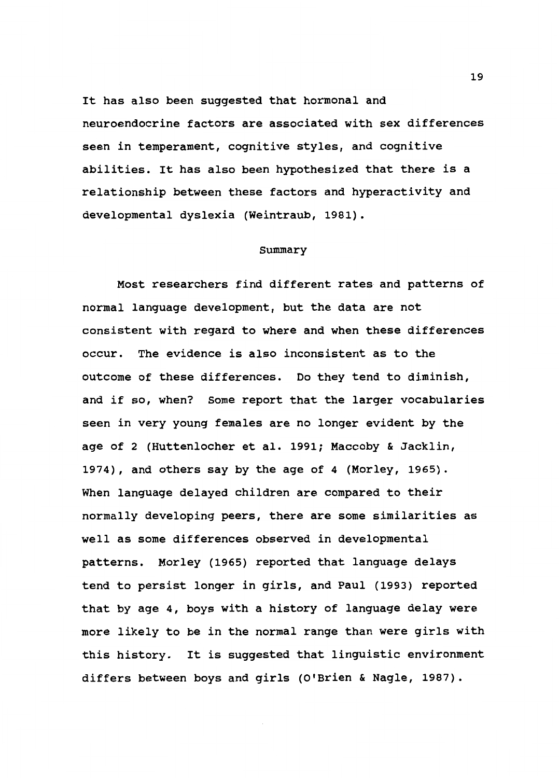It has also been suggested that hormonal and neuroendocrine factors are associated with sex differences seen in temperament, cognitive styles, and cognitive abilities. It has also been hypothesized that there is a relationship between these factors and hyperactivity and developmental dyslexia (Weintraub, 1981).

#### Summary

Most researchers find different rates and patterns of normal language development, but the data are not consistent with regard to where and when these differences occur. The evidence is also inconsistent as to the outcome of these differences. Do they tend to diminish, and if so, when? some report that the larger vocabularies seen in very young females are no longer evident by the age of 2 (Huttenlocher et al. 1991; Maccoby & Jacklin, 1974), and others say by the age of 4 (Morley, 1965). When language delayed children are compared to their normally developing peers, there are some similarities as well as some differences observed in developmental patterns. Morley (1965) reported that language delays tend to persist longer in girls, and Paul (1993) reported that by age 4, boys with a history of language delay were more likely to be in the normal range than were girls with this history. It is suggested that linguistic environment differs between boys and girls (O'Brien & Nagle, 1987).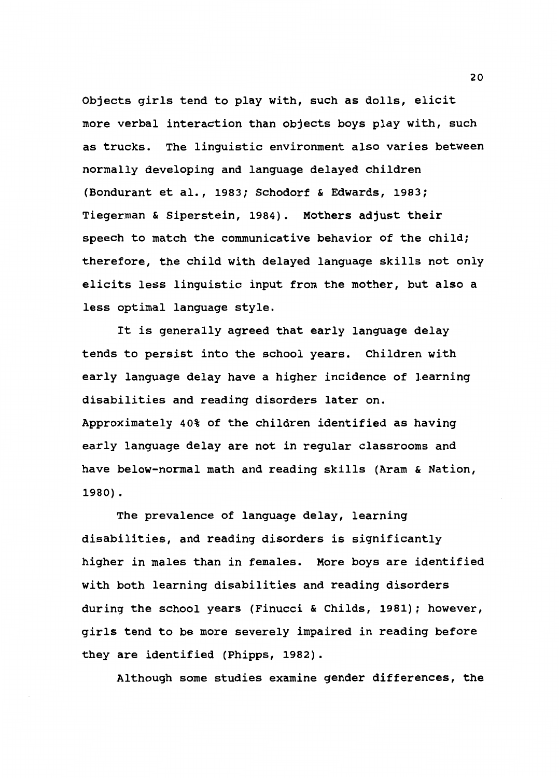Objects girls tend to play with, such as dolls, elicit more verbal interaction than objects boys play with, such as trucks. The linguistic environment also varies between normally developing and language delayed children (Bondurant et al., 1983; Schodorf & Edwards, 1983; Tiegerman & Siperstein, 1984). Mothers adjust their speech to match the communicative behavior of the child; therefore, the child with delayed language skills not only elicits less linguistic input from the mother, but also a less optimal language style.

It is generally agreed that early language delay tends to persist into the school years. Children with early language delay have a higher incidence of learning disabilities and reading disorders later on. Approximately 40% of the children identified as having early language delay are not in regular classrooms and have below-normal math and reading skills (Aram & Nation, 1980) .

The prevalence of language delay, learning disabilities, and reading disorders is significantly higher in males than in females. More boys are identified with both learning disabilities and reading disorders during the school years (Finucci & Childs, 1981); however, girls tend to be more severely impaired in reading before they are identified (Phipps, 1982).

Although some studies examine gender differences, the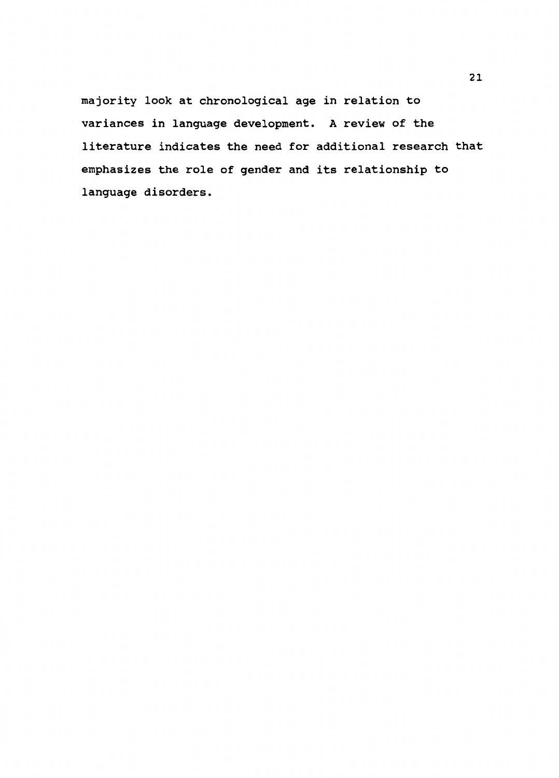majority look at chronological age in relation to variances in language development. A review of the literature indicates the need for additional research that emphasizes the role of gender and its relationship to language disorders.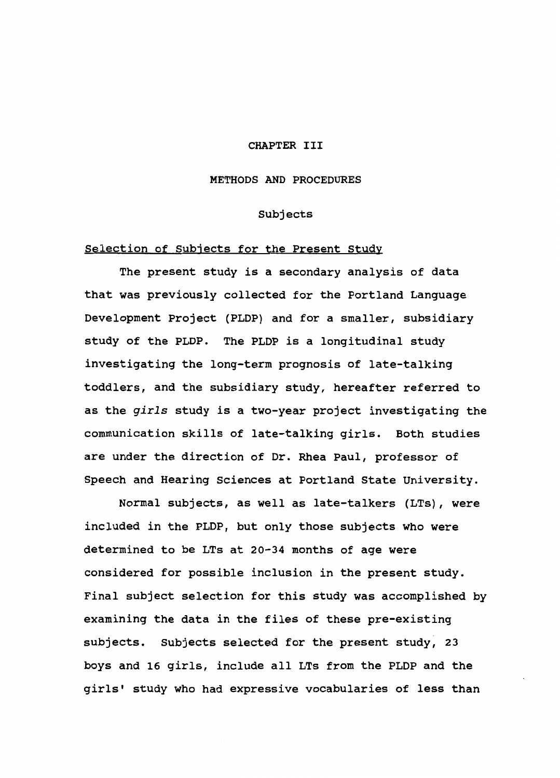## CHAPTER III

#### METHODS AND PROCEDURES

## Subjects

## Selection of Subjects for the Present study

The present study is a secondary analysis of data that was previously collected for the Portland Language Development Project (PLOP) and for a smaller, subsidiary study of the PLOP. The PLOP is a longitudinal study investigating the long-term prognosis of late-talking toddlers, and the subsidiary study, hereafter referred to as the *girls* study is a two-year project investigating the communication skills of late-talking girls. Both studies are under the direction of Dr. Rhea Paul, professor of Speech and Hearing Sciences at Portland State University.

Normal subjects, as well as late-talkers (LTs), were included in the PLOP, but only those subjects who were determined to be LTs at 20-34 months of age were considered for possible inclusion in the present study. Final subject selection for this study was accomplished by examining the data in the files of these pre-existing subjects. Subjects selected for the present study, 23 boys and 16 girls, include all LTs from the PLOP and the girls' study who had expressive vocabularies of less than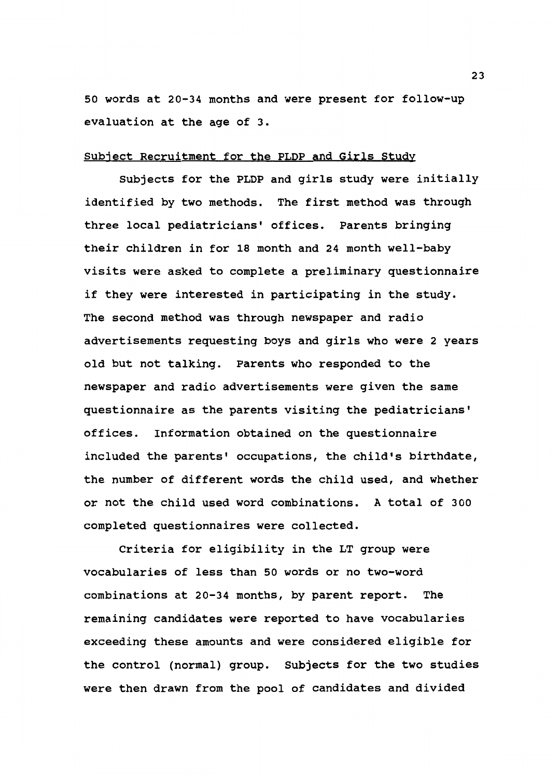50 words at 20-34 months and were present for follow-up evaluation at the age of 3.

## Subject Recruitment for the PLOP and Girls Study

Subjects for the PLOP and girls study were initially identified by two methods. The first method was through three local pediatricians' offices. Parents bringing their children in for 18 month and 24 month well-baby visits were asked to complete a preliminary questionnaire if they were interested in participating in the study. The second method was through newspaper and radio advertisements requesting boys and girls who were 2 years old but not talking. Parents who responded to the newspaper and radio advertisements were given the same questionnaire as the parents visiting the pediatricians' offices. Information obtained on the questionnaire included the parents' occupations, the child's birthdate, the number of different words the child used, and whether or not the child used word combinations. A total of 300 completed questionnaires were collected.

Criteria for eligibility in the LT group were vocabularies of less than 50 words or no two-word combinations at 20-34 months, by parent report. The remaining candidates were reported to have vocabularies exceeding these amounts and were considered eligible for the control (normal) group. Subjects for the two studies were then drawn from the pool of candidates and divided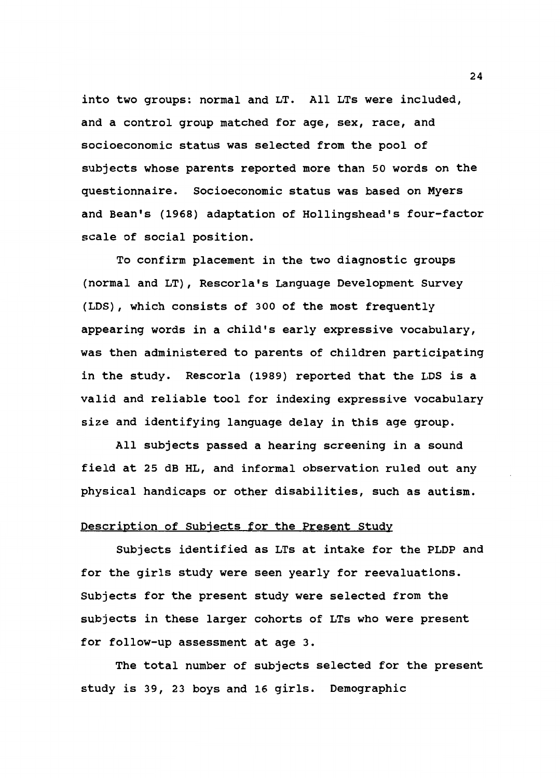into two groups: normal and LT. All LTs were included, and a control group matched for age, sex, race, and socioeconomic status was selected from the pool of subjects whose parents reported more than 50 words on the questionnaire. Socioeconomic status was based on Myers and Bean's {1968) adaptation of Hollingshead's four-factor scale of social position.

To confirm placement in the two diagnostic groups {normal and LT), Rescorla's Language Development Survey {LDS), which consists of 300 of the most frequently appearing words in a child's early expressive vocabulary, was then administered to parents of children participating in the study. Rescorla {1989) reported that the LDS is a valid and reliable tool for indexing expressive vocabulary size and identifying language delay in this age group.

All subjects passed a hearing screening in a sound field at 25 dB HL, and informal observation ruled out any physical handicaps or other disabilities, such as autism.

## Description of Subjects for the Present Study

Subjects identified as LTs at intake for the PLDP and for the girls study were seen yearly for reevaluations. Subjects for the present study were selected from the subjects in these larger cohorts of LTs who were present for follow-up assessment at age 3.

The total number of subjects selected for the present study is 39, 23 boys and 16 girls. Demographic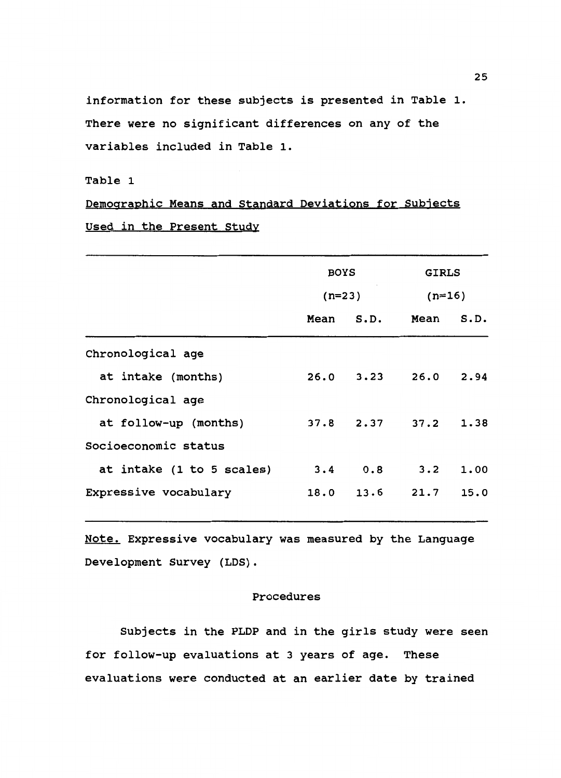information for these subjects is presented in Table 1. There were no significant differences on any of the variables included in Table 1.

## Table 1

Demographic Means and Standard Deviations for Subjects Used in the Present Study

|                           | <b>BOYS</b> |      | <b>GIRLS</b> |      |
|---------------------------|-------------|------|--------------|------|
|                           | $(n=23)$    |      | $(n=16)$     |      |
|                           | Mean        | S.D. | Mean         | S.D. |
| Chronological age         |             |      |              |      |
| at intake (months)        | 26.0        | 3.23 | 26.0         | 2.94 |
| Chronological age         |             |      |              |      |
| at follow-up (months)     | 37.8        | 2.37 | 37.2         | 1.38 |
| Socioeconomic status      |             |      |              |      |
| at intake (1 to 5 scales) | 3.4         | 0.8  | 3.2          | 1.00 |
| Expressive vocabulary     | 18.0        | 13.6 | 21.7         | 15.0 |
|                           |             |      |              |      |

Note. Expressive vocabulary was measured by the Language Development Survey (LOS).

## Procedures

Subjects in the PLOP and in the girls study were seen for follow-up evaluations at 3 years of age. These evaluations were conducted at an earlier date by trained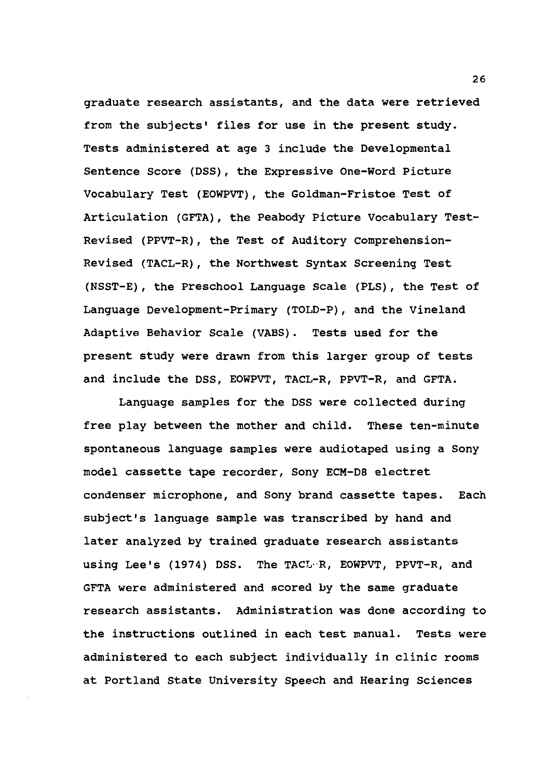graduate research assistants, and the data were retrieved from the subjects' files for use in the present study. Tests administered at age 3 include the Developmental Sentence Score (DSS), the Expressive One-Word Picture Vocabulary Test (EOWPVT), the Goldman-Fristoe Test of Articulation (GFTA), the Peabody Picture Vocabulary Test-Revised (PPVT-R), the Test of Auditory Comprehension-Revised (TACL-R), the Northwest Syntax Screening Test (NSST-E), the Preschool Language Scale (PLS), the Test of Language Development-Primary (TOLD-P), and the Vineland Adaptive Behavior Scale (VABS). Tests used for the present study were drawn from this larger group of tests and include the DSS, EOWPVT, TACL-R, PPVT-R, and GFTA.

Language samples for the DSS were collected during free play between the mother and child. These ten-minute spontaneous language samples were audiotaped using a Sony model cassette tape recorder, Sony ECM-DS electret condenser microphone, and Sony brand cassette tapes. Each subject's language sample was transcribed by hand and later analyzed by trained graduate research assistants using Lee's (1974) DSS. The TACL··R, EOWPVT, PPVT-R, and GFTA were administered and scored by the same graduate research assistants. Administration was done according to the instructions outlined in each test manual. Tests were administered to each subject individually in clinic rooms at Portland State University Speech and Hearing Sciences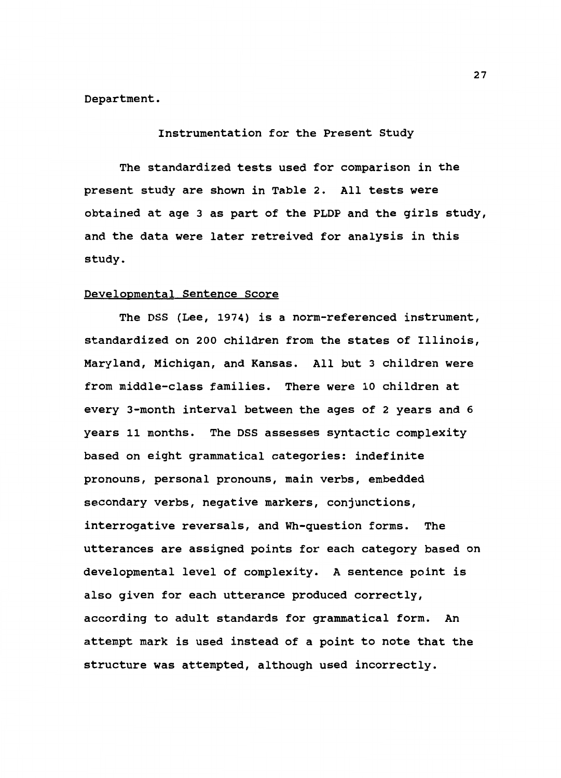Department.

Instrumentation for the Present Study

The standardized tests used for comparison in the present study are shown in Table 2. All tests were obtained at age 3 as part of the PLOP and the girls study, and the data were later retreived for analysis in this study.

## Developmental Sentence Score

The DSS (Lee, 1974) is a norm-referenced instrument, standardized on 200 children from the states of Illinois, Maryland, Michigan, and Kansas. All but 3 children were from middle-class families. There were 10 children at every 3-month interval between the ages of 2 years and 6 years 11 months. The DSS assesses syntactic complexity based on eight grammatical categories: indefinite pronouns, personal pronouns, main verbs, embedded secondary verbs, negative markers, conjunctions, interrogative reversals, and Wh-question forms. The utterances are assigned points for each category based on developmental level of complexity. A sentence point is also given for each utterance produced correctly, according to adult standards for grammatical form. An attempt mark is used instead of a point to note that the structure was attempted, although used incorrectly.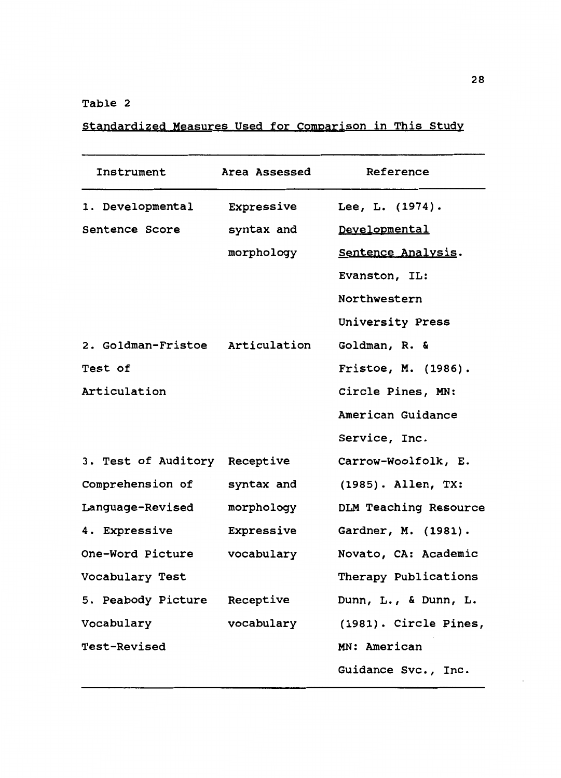## Table 2

Standardized Measures Used for Comparison in This Study

| Instrument                      | Area Assessed | Reference             |
|---------------------------------|---------------|-----------------------|
| 1. Developmental                | Expressive    | Lee, L. (1974).       |
| Sentence Score                  | syntax and    | Developmental         |
|                                 | morphology    | Sentence Analysis.    |
|                                 |               | Evanston, IL:         |
|                                 |               | Northwestern          |
|                                 |               | University Press      |
| 2. Goldman-Fristoe Articulation |               | Goldman, R. &         |
| Test of                         |               | Fristoe, M. (1986).   |
| Articulation                    |               | Circle Pines, MN:     |
|                                 |               | American Guidance     |
|                                 |               | Service, Inc.         |
| 3. Test of Auditory Receptive   |               | Carrow-Woolfolk, E.   |
| Comprehension of                | syntax and    | (1985). Allen, TX:    |
| Language-Revised                | morphology    | DLM Teaching Resource |
| 4. Expressive                   | Expressive    | Gardner, M. (1981).   |
| One-Word Picture                | vocabulary    | Novato, CA: Academic  |
| Vocabulary Test                 |               | Therapy Publications  |
| 5. Peabody Picture Receptive    |               | Dunn, L., & Dunn, L.  |
| Vocabulary                      | vocabulary    | (1981). Circle Pines, |
| Test-Revised                    |               | MN: American          |
|                                 |               | Guidance Svc., Inc.   |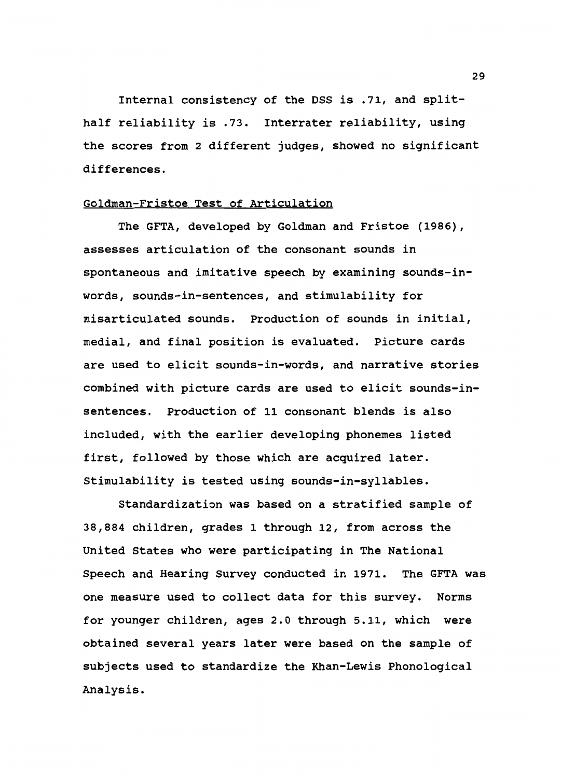Internal consistency of the DSS is .71, and splithalf reliability is .73. Interrater reliability, using the scores from 2 different judges, showed no significant differences.

#### Goldman-Fristoe Test of Articulation

The GFTA, developed by Goldman and Fristoe (1986), assesses articulation of the consonant sounds in spontaneous and imitative speech by examining sounds-inwords, sounds-in-sentences, and stimulability for misarticulated sounds. Production of sounds in initial, medial, and final position is evaluated. Picture cards are used to elicit sounds-in-words, and narrative stories combined with picture cards are used to elicit sounds-insentences. Production of 11 consonant blends is also included, with the earlier developing phonemes listed first, followed by those which are acquired later. Stimulability is tested using sounds-in-syllables.

Standardization was based on a stratified sample of 38,884 children, grades 1 through 12, from across the United States who were participating in The National Speech and Hearing Survey conducted in 1971. The GFTA was one measure used to collect data for this survey. Norms for younger children, ages 2.0 through 5.11, which were obtained several years later were based on the sample of subjects used to standardize the Khan-Lewis Phonological Analysis.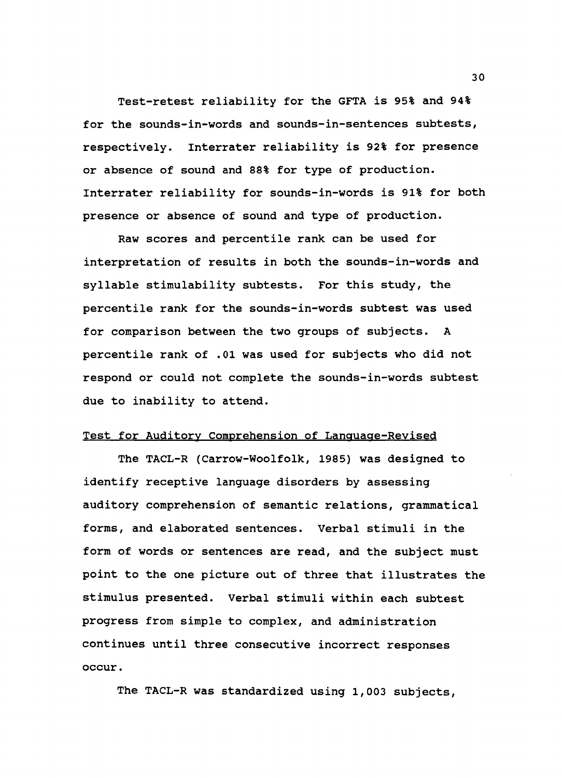Test-retest reliability for the GFTA is 95% and 94% for the sounds-in-words and sounds-in-sentences subtests, respectively. Interrater reliability is 92% for presence or absence of sound and 88% for type of production. Interrater reliability for sounds-in-words is 91% for both presence or absence of sound and type of production.

Raw scores and percentile rank can be used for interpretation of results in both the sounds-in-words and syllable stimulability subtests. For this study, the percentile rank for the sounds-in-words subtest was used for comparison between the two groups of subjects. A percentile rank of .01 was used for subjects who did not respond or could not complete the sounds-in-words subtest due to inability to attend.

#### Test for Auditory Comprehension of Language-Revised

The TACL-R (Carrow-Woolfolk, 1985) was designed to identify receptive language disorders by assessing auditory comprehension of semantic relations, grammatical forms, and elaborated sentences. Verbal stimuli in the form of words or sentences are read, and the subject must point to the one picture out of three that illustrates the stimulus presented. Verbal stimuli within each subtest progress from simple to complex, and administration continues until three consecutive incorrect responses occur.

The TACL-R was standardized using 1,003 subjects,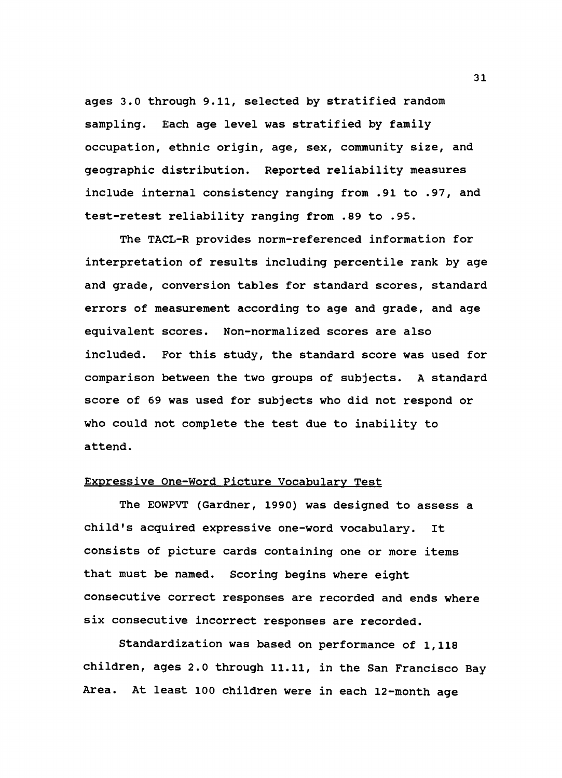ages 3.0 through 9.11, selected by stratified random sampling. Each age level was stratified by family occupation, ethnic origin, age, sex, community size, and geographic distribution. Reported reliability measures include internal consistency ranging from .91 to .97, and test-retest reliability ranging from .89 to .95.

The TACL-R provides norm-referenced information for interpretation of results including percentile rank by age and grade, conversion tables for standard scores, standard errors of measurement according to age and grade, and age equivalent scores. Non-normalized scores are also included. For this study, the standard score was used for comparison between the two groups of subjects. A standard score of 69 was used for subjects who did not respond or who could not complete the test due to inability to attend.

## Expressive One-Word Picture Vocabulary Test

The EOWPVT (Gardner, 1990) was designed to assess a child's acquired expressive one-word vocabulary. It consists of picture cards containing one or more items that must be named. Scoring begins where eight consecutive correct responses are recorded and ends where six consecutive incorrect responses are recorded.

Standardization was based on performance of 1,118 children, ages 2.0 through 11.11, in the San Francisco Bay Area. At least 100 children were in each 12-month age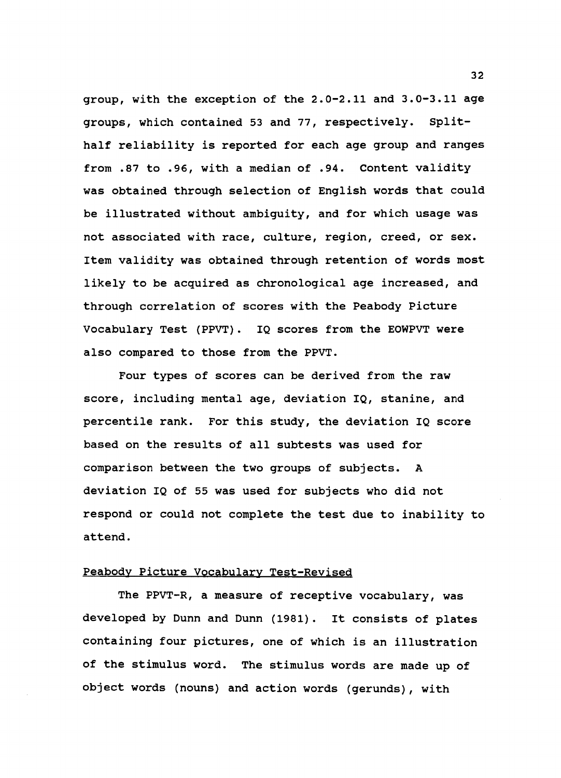group, with the exception of the 2.0-2.11 and 3.0-3.11 age groups, which contained 53 and 77, respectively. Splithalf reliability is reported for each age group and ranges from .87 to .96, with a median of .94. Content validity was obtained through selection of English words that could be illustrated without ambiguity, and for which usage was not associated with race, culture, region, creed, or sex. Item validity was obtained through retention of words most likely to be acquired as chronological age increased, and through correlation of scores with the Peabody Picture Vocabulary Test (PPVT). IQ scores from the EOWPVT were also compared to those from the PPVT.

Four types of scores can be derived from the raw score, including mental age, deviation IQ, stanine, and percentile rank. For this study, the deviation IQ score based on the results of all subtests was used for comparison between the two groups of subjects. A deviation IQ of 55 was used for subjects who did not respond or could not complete the test due to inability to attend.

#### Peabody Picture Vocabulary Test-Revised

The PPVT-R, a measure of receptive vocabulary, was developed by Dunn and Dunn (1981). It consists of plates containing four pictures, one of which is an illustration of the stimulus word. The stimulus words are made up of object words (nouns) and action words (gerunds), with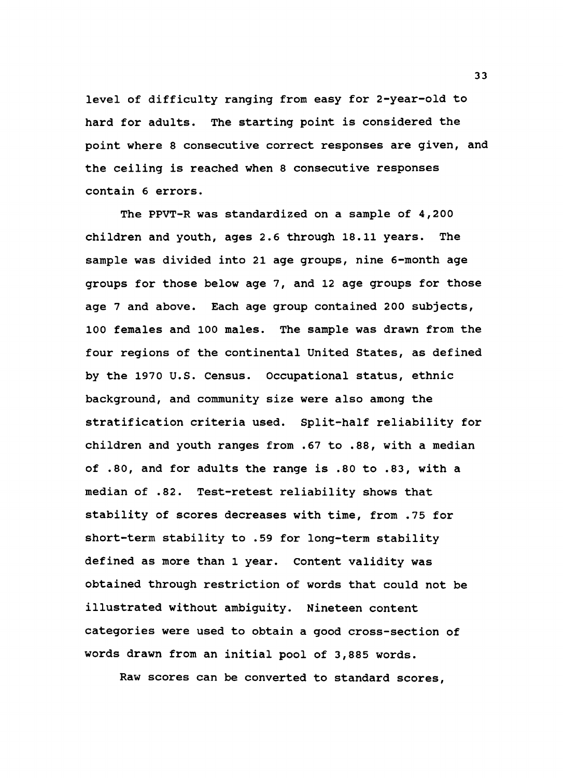level of difficulty ranging from easy for 2-year-old to hard for adults. The starting point is considered the point where 8 consecutive correct responses are given, and the ceiling is reached when 8 consecutive responses contain 6 errors.

The PPVT-R was standardized on a sample of 4,200 children and youth, ages 2.6 through 18.11 years. The sample was divided into 21 age groups, nine 6-month age groups for those below age 7, and 12 age groups for those age 7 and above. Each age group contained 200 subjects, 100 females and 100 males. The sample was drawn from the four regions of the continental United States, as defined by the 1970 U.S. Census. Occupational status, ethnic background, and community size were also among the stratification criteria used. Split-half reliability for children and youth ranges from .67 to .88, with a median of .so, and for adults the range is .so to .83, with a median of .82. Test-retest reliability shows that stability of scores decreases with time, from .75 for short-term stability to .59 for long-term stability defined as more than 1 year. Content validity was obtained through restriction of words that could not be illustrated without ambiguity. Nineteen content categories were used to obtain a good cross-section of words drawn from an initial pool of 3,885 words.

Raw scores can be converted to standard scores,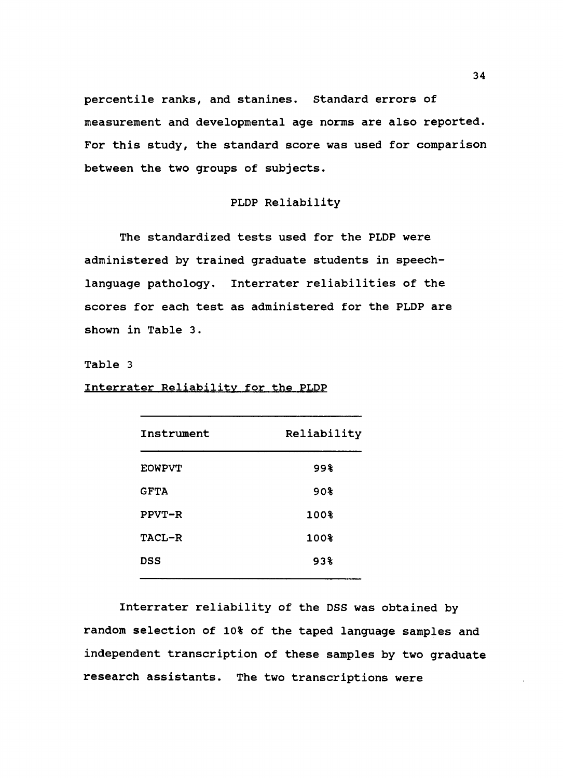percentile ranks, and stanines. Standard errors of measurement and developmental age norms are also reported. For this study, the standard score was used for comparison between the two groups of subjects.

## PLOP Reliability

The standardized tests used for the PLOP were administered by trained graduate students in speechlanguage pathology. Interrater reliabilities of the scores for each test as administered for the PLOP are shown in Table 3.

#### Table 3

Interrater Reliability for the PLOP

| Instrument    | Reliability |  |  |
|---------------|-------------|--|--|
| <b>EOWPVT</b> | 998         |  |  |
| <b>GFTA</b>   | 90%         |  |  |
| $PPVT-R$      | 100%        |  |  |
| <b>TACL-R</b> | 100%        |  |  |
| DSS           | 938         |  |  |
|               |             |  |  |

Interrater reliability of the OSS was obtained by random selection of 10% of the taped language samples and independent transcription of these samples by two graduate research assistants. The two transcriptions were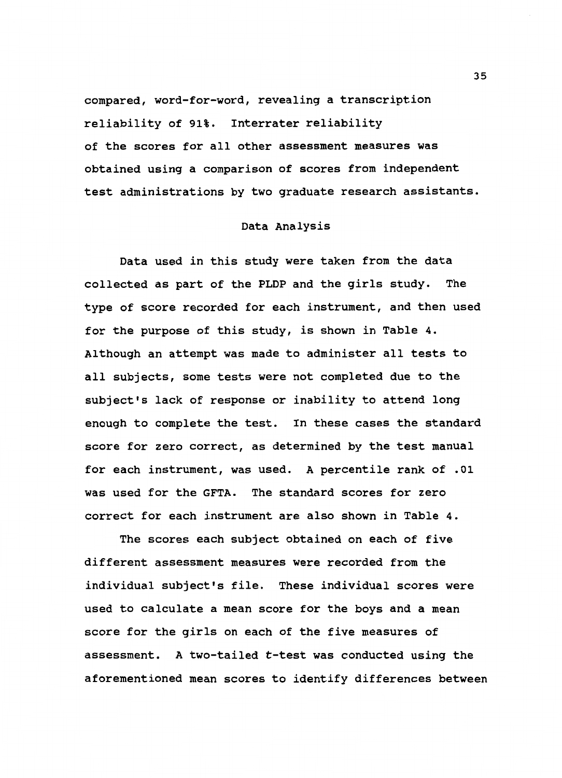compared, word-for-word, revealing a transcription reliability of 91%. Interrater reliability of the scores for all other assessment measures was obtained using a comparison of scores from independent test administrations by two graduate research assistants.

## Data Analysis

Data used in this study were taken from the data collected as part of the PLOP and the girls study. The type of score recorded for each instrument, and then used for the purpose of this study, is shown in Table 4. Although an attempt was made to administer all tests to all subjects, some tests were not completed due to the subject's lack of response or inability to attend long enough to complete the test. In these cases the standard score for zero correct, as determined by the test manual for each instrument, was used. A percentile rank of .01 was used for the GFTA. The standard scores for zero correct for each instrument are also shown in Table 4.

The scores each subject obtained on each of five different assessment measures were recorded from the individual subject's file. These individual scores were used to calculate a mean score for the boys and a mean score for the girls on each of the five measures of assessment. A two-tailed t-test was conducted using the aforementioned mean scores to identify differences between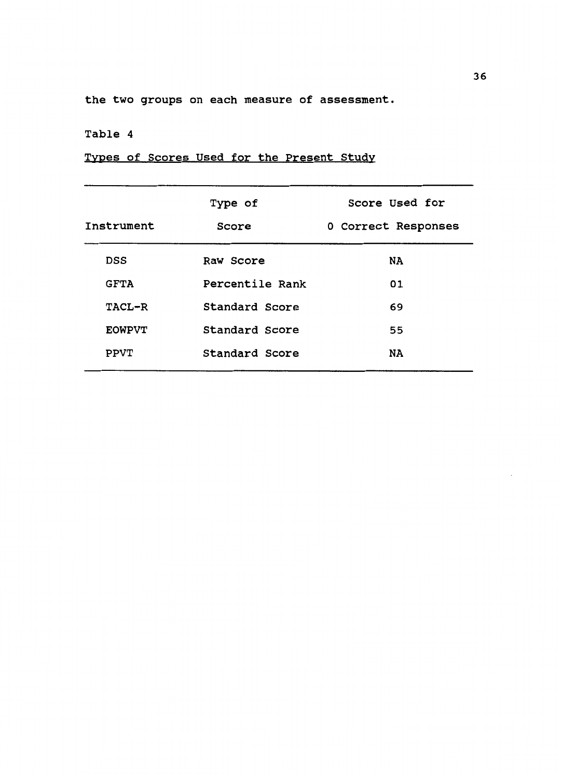the two groups on each measure of assessment.

## Table 4

Types of Scores Used for the Present Study

| Instrument    | Type of<br>Score | Score Used for<br>0 Correct Responses |
|---------------|------------------|---------------------------------------|
| <b>DSS</b>    | Raw Score        | <b>NA</b>                             |
| <b>GFTA</b>   | Percentile Rank  | 01                                    |
| TACL-R        | Standard Score   | 69                                    |
| <b>EOWPVT</b> | Standard Score   | 55                                    |
| <b>PPVT</b>   | Standard Score   | <b>NA</b>                             |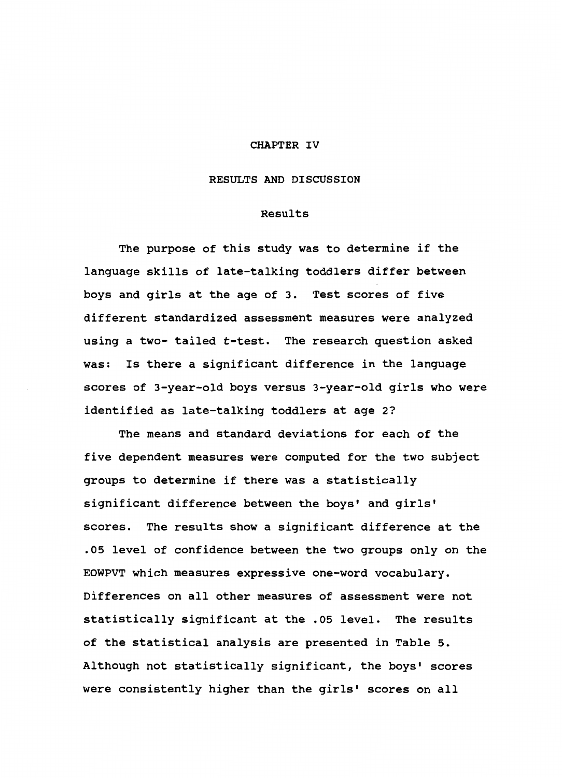#### CHAPTER IV

#### RESULTS AND DISCUSSION

#### Results

The purpose of this study was to determine if the language skills of late-talking toddlers differ between boys and girls at the age of 3. Test scores of five different standardized assessment measures were analyzed using a two- tailed t-test. The research question asked was: Is there a significant difference in the language scores of 3-year-old boys versus 3-year-old girls who were identified as late-talking toddlers at age 2?

The means and standard deviations for each of the five dependent measures were computed for the two subject groups to determine if there was a statistically significant difference between the boys' and girls' scores. The results show a significant difference at the .05 level of confidence between the two groups only on the EOWPVT which measures expressive one-word vocabulary. Differences on all other measures of assessment were not statistically significant at the .05 level. The results of the statistical analysis are presented in Table 5. Although not statistically significant, the boys' scores were consistently higher than the girls' scores on all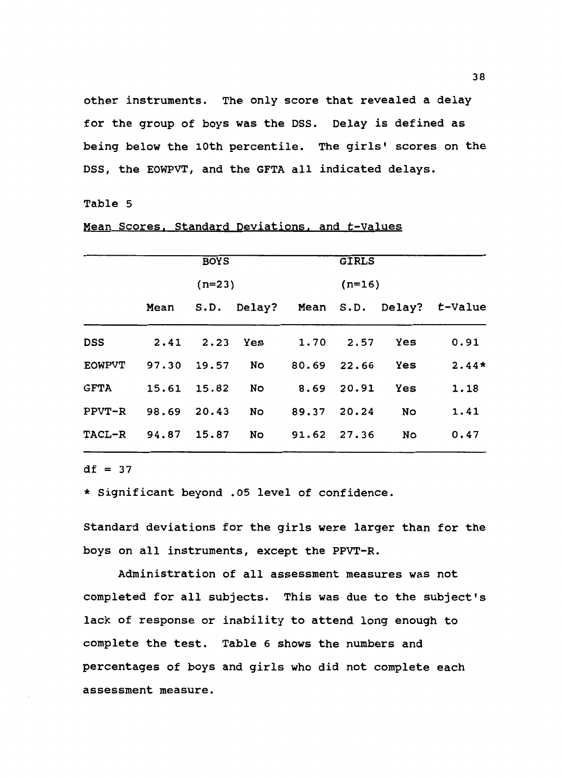other instruments. The only score that revealed a delay for the group of boys was the DSS. Delay is defined as being below the 10th percentile. The girls' scores on the DSS, the EOWPVT, and the GFTA all indicated delays.

#### Table 5

## Mean Scores, Standard Deviations, and t-Values

|                    | <b>BOYS</b><br>$(n=23)$ |  |                                | <b>GIRLS</b><br>$(n=16)$ |  |               |                                           |  |
|--------------------|-------------------------|--|--------------------------------|--------------------------|--|---------------|-------------------------------------------|--|
|                    |                         |  |                                |                          |  |               |                                           |  |
|                    |                         |  |                                |                          |  |               | Mean S.D. Delay? Mean S.D. Delay? t-Value |  |
| DSS                |                         |  |                                |                          |  | 1.70 2.57 Yes | 0.91                                      |  |
| <b>EOWPVT</b>      |                         |  | 97.30 19.57 No 80.69 22.66 Yes |                          |  |               | $2.44*$                                   |  |
| <b>GFTA</b>        |                         |  | 15.61 15.82 No 8.69 20.91      |                          |  | Yes           | 1.18                                      |  |
| $PPVT-R$           | 98.69 20.43             |  | No                             | 89.37 20.24              |  | No            | 1.41                                      |  |
| TACL-R 94.87 15.87 |                         |  | No                             | 91.62 27.36              |  | No            | 0.47                                      |  |

 $df = 37$ 

\* Significant beyond .05 level of confidence.

Standard deviations for the girls were larger than for the boys on all instruments, except the PPVT-R.

Administration of all assessment measures was not completed for all subjects. This was due to the subject's lack of response or inability to attend long enough to complete the test. Table 6 shows the numbers and percentages of boys and girls who did not complete each assessment measure.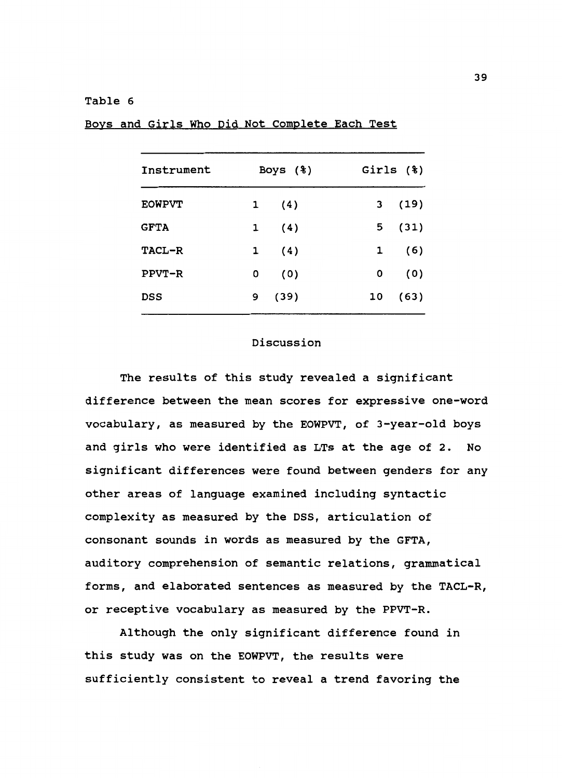#### Table 6

| Instrument    |              | Boys $(*)$ |    | Girls $(*)$ |
|---------------|--------------|------------|----|-------------|
| <b>EOWPVT</b> | 1            | (4)        | 3  | (19)        |
| <b>GFTA</b>   | 1            | (4)        | 5  | (31)        |
| TACL-R        | $\mathbf{1}$ | (4)        | 1  | (6)         |
| <b>PPVT-R</b> | 0            | (0)        | 0  | (0)         |
| DSS           | 9            | (39)       | 10 | (63)        |

Boys and Girls WhO Did Not Complete Each Test

## Discussion

The results of this study revealed a significant difference between the mean scores for expressive one-word vocabulary, as measured by the EOWPVT, of 3-year-old boys and girls who were identified as LTs at the age of 2. No significant differences were found between genders for any other areas of language examined including syntactic complexity as measured by the DSS, articulation of consonant sounds in words as measured by the GFTA, auditory comprehension of semantic relations, grammatical forms, and elaborated sentences as measured by the TACL-R, or receptive vocabulary as measured by the PPVT-R.

Although the only significant difference found in this study was on the EOWPVT, the results were sufficiently consistent to reveal a trend favoring the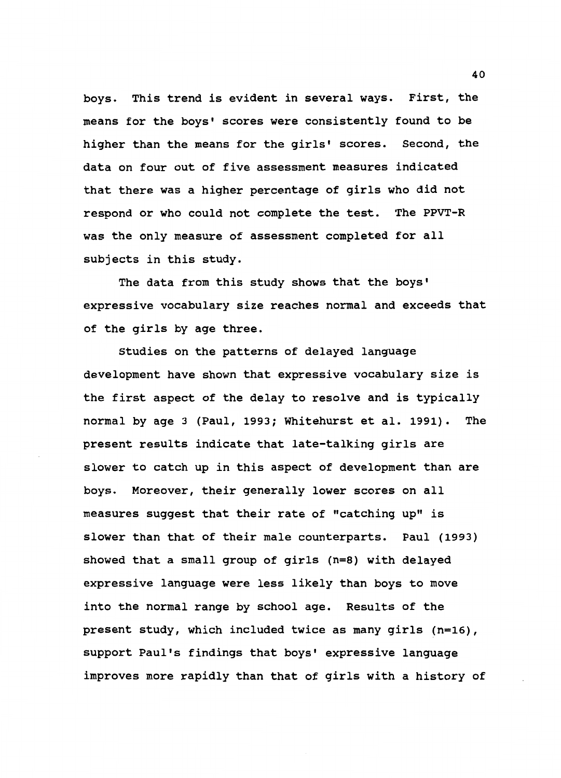boys. This trend is evident in several ways. First, the means for the boys' scores were consistently found to be higher than the means for the girls' scores. Second, the data on four out of five assessment measures indicated that there was a higher percentage of girls who did not respond or who could not complete the test. The PPVT-R was the only measure of assessment completed for all subjects in this study.

The data from this study shows that the boys' expressive vocabulary size reaches normal and exceeds that of the girls by age three.

Studies on the patterns of delayed language development have shown that expressive vocabulary size is the first aspect of the delay to resolve and is typically normal by age 3 (Paul, 1993; Whitehurst et al. 1991). The present results indicate that late-talking girls are slower to catch up in this aspect of development than are boys. Moreover, their generally lower scores on all measures suggest that their rate of "catching up" is slower than that of their male counterparts. Paul (1993) showed that a small group of girls (n=S) with delayed expressive language were less likely than boys to move into the normal range by school age. Results of the present study, which included twice as many girls (n=16), support Paul's findings that boys' expressive language improves more rapidly than that of girls with a history of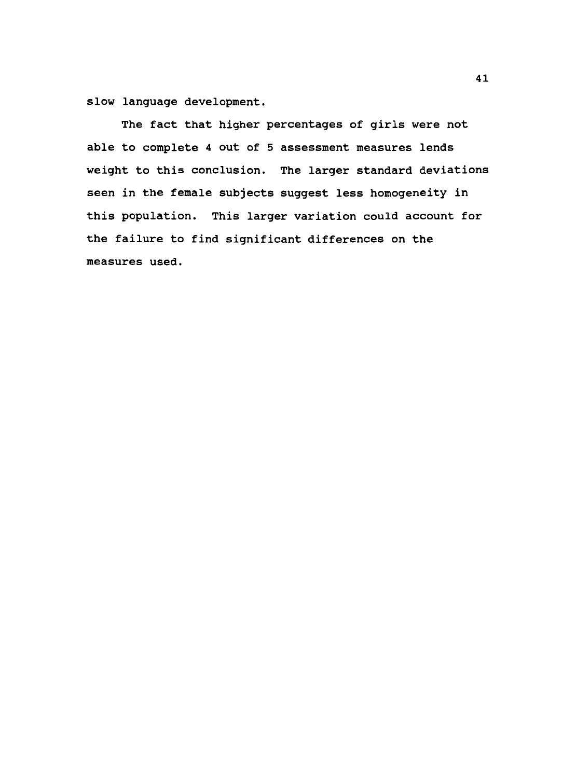slow language development.

The fact that higher percentages of girls were not able to complete 4 out of 5 assessment measures lends weight to this conclusion. The larger standard deviations seen in the female subjects suggest less homogeneity in this population. This larger variation could account for the failure to find significant differences on the measures used.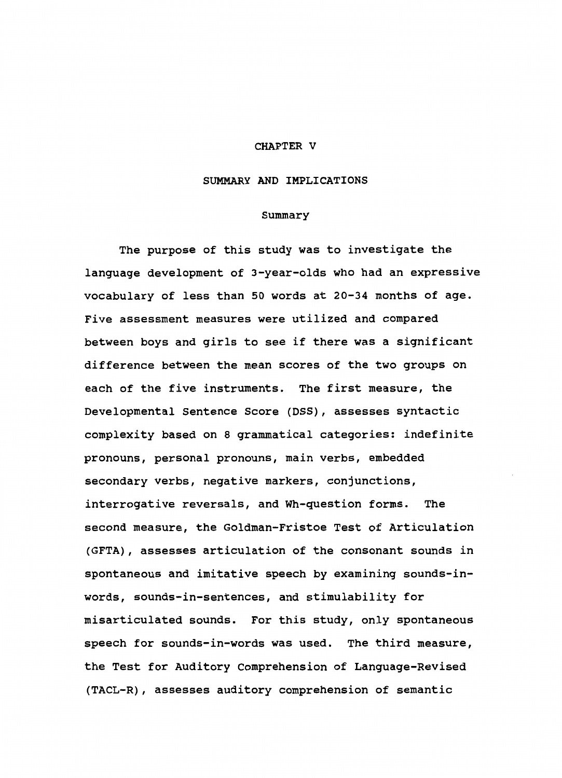#### CHAPTER V

#### SUMMARY AND IMPLICATIONS

### Summary

The purpose of this study was to investigate the language development of 3-year-olds who had an expressive vocabulary of less than 50 words at 20-34 months of age. Five assessment measures were utilized and compared between boys and girls to see if there was a significant difference between the mean scores of the two groups on each of the five instruments. The first measure, the Developmental Sentence Score (DSS), assesses syntactic complexity based on 8 grammatical categories: indefinite pronouns, personal pronouns, main verbs, embedded secondary verbs, negative markers, conjunctions, interrogative reversals, and Wh-question forms. The second measure, the Goldman-Fristoe Test of Articulation (GFTA), assesses articulation of the consonant sounds in spontaneous and imitative speech by examining sounds-inwords, sounds-in-sentences, and stimulability for misarticulated sounds. For this study, only spontaneous speech for sounds-in-words was used. The third measure, the Test for Auditory Comprehension of Language-Revised (TACL-R), assesses auditory comprehension of semantic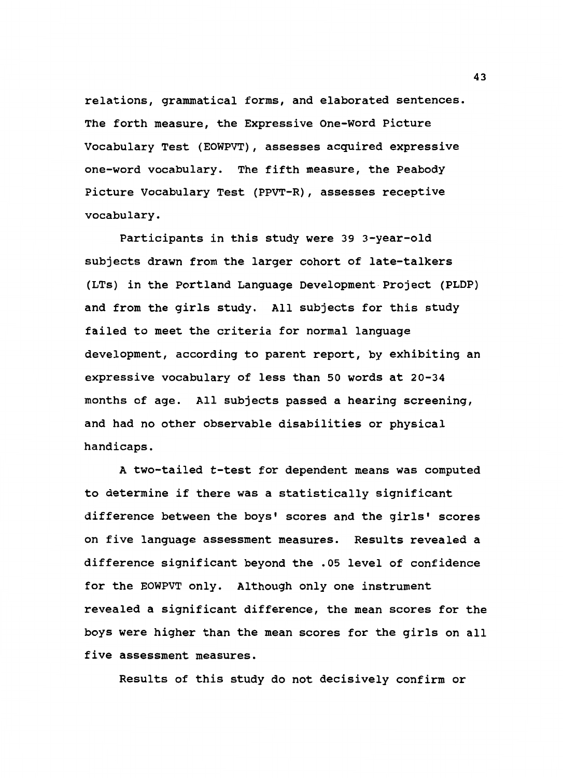relations, grammatical forms, and elaborated sentences. The forth measure, the Expressive One-Word Picture Vocabulary Test (EOWPVT), assesses acquired expressive one-word vocabulary. The fifth measure, the Peabody Picture Vocabulary Test (PPVT-R), assesses receptive vocabulary.

Participants in this study were 39 3-year-old subjects drawn from the larger cohort of late-talkers (LTs) in the Portland Language Development Project (PLOP) and from the girls study. All subjects for this study failed to meet the criteria for normal language development, according to parent report, by exhibiting an expressive vocabulary of less than 50 words at 20-34 months of age. All subjects passed a hearing screening, and had no other observable disabilities or physical handicaps.

A two-tailed t-test for dependent means was computed to determine if there was a statistically significant difference between the boys' scores and the girls' scores on five language assessment measures. Results revealed a difference significant beyond the .OS level of confidence for the EOWPVT only. Although only one instrument revealed a significant difference, the mean scores for the boys were higher than the mean scores for the girls on all five assessment measures.

Results of this study do not decisively confirm or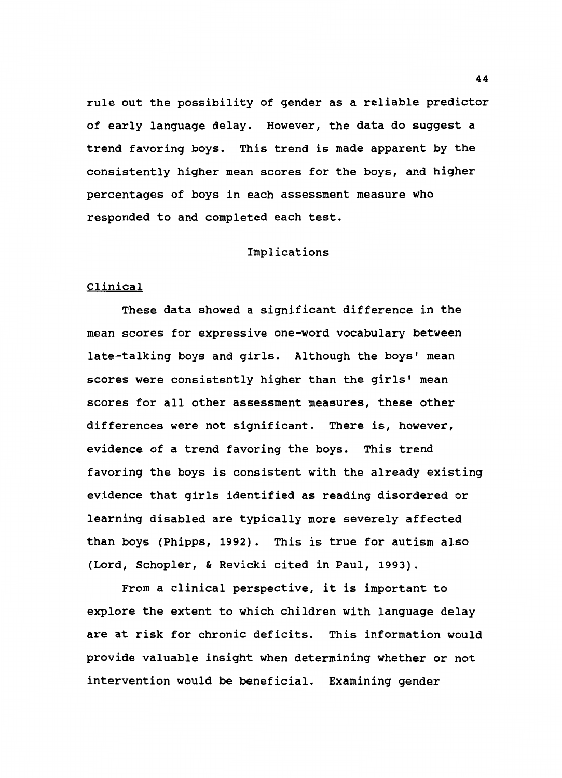rule out the possibility of gender as a reliable predictor of early language delay. However, the data do suggest a trend favoring boys. This trend is made apparent by the consistently higher mean scores for the boys, and higher percentages of boys in each assessment measure who responded to and completed each test.

## Implications

#### Clinical

These data showed a significant difference in the mean scores for expressive one-word vocabulary between late-talking boys and girls. Although the boys' mean scores were consistently higher than the girls' mean scores for all other assessment measures, these other differences were not significant. There is, however, evidence of a trend favoring the boys. This trend favoring the boys is consistent with the already existing evidence that girls identified as reading disordered or learning disabled are typically more severely affected than boys (Phipps, 1992). This is true for autism also (Lord, Schopler, & Revicki cited in Paul, 1993).

From a clinical perspective, it is important to explore the extent to which children with language delay are at risk for chronic deficits. This information would provide valuable insight when determining whether or not intervention would be beneficial. Examining gender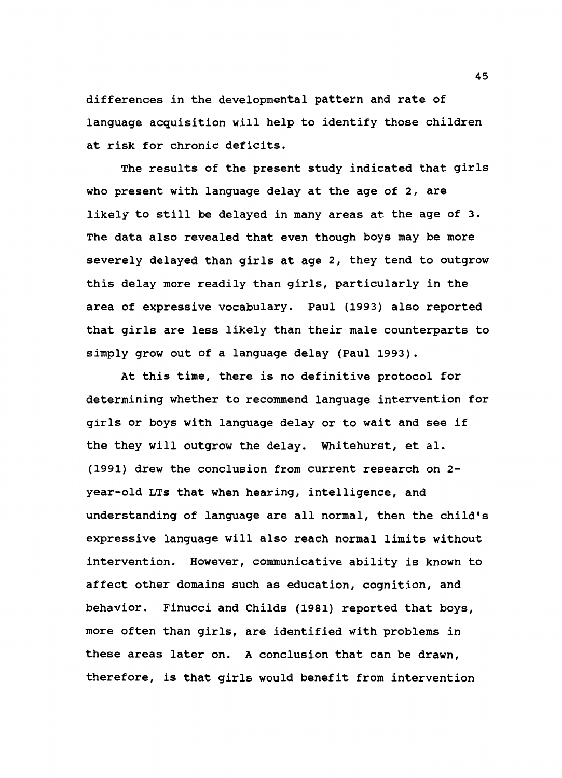differences in the developmental pattern and rate of language acquisition will help to identify those children at risk for chronic deficits.

The results of the present study indicated that girls who present with language delay at the age of 2, are likely to still be delayed in many areas at the age of 3. The data also revealed that even though boys may be more severely delayed than girls at age 2, they tend to outgrow this delay more readily than girls, particularly in the area of expressive vocabulary. Paul (1993) also reported that girls are less likely than their male counterparts to simply grow out of a language delay (Paul 1993).

At this time, there is no definitive protocol for determining whether to recommend language intervention for girls or boys with language delay or to wait and see if the they will outgrow the delay. Whitehurst, et al. (1991) drew the conclusion from current research on 2 year-old LTs that when hearing, intelligence, and understanding of language are all normal, then the child's expressive language will also reach normal limits without intervention. However, communicative ability is known to affect other domains such as education, cognition, and behavior. Finucci and Childs (1981) reported that boys, more often than girls, are identified with problems in these areas later on. A conclusion that can be drawn, therefore, is that girls would benefit from intervention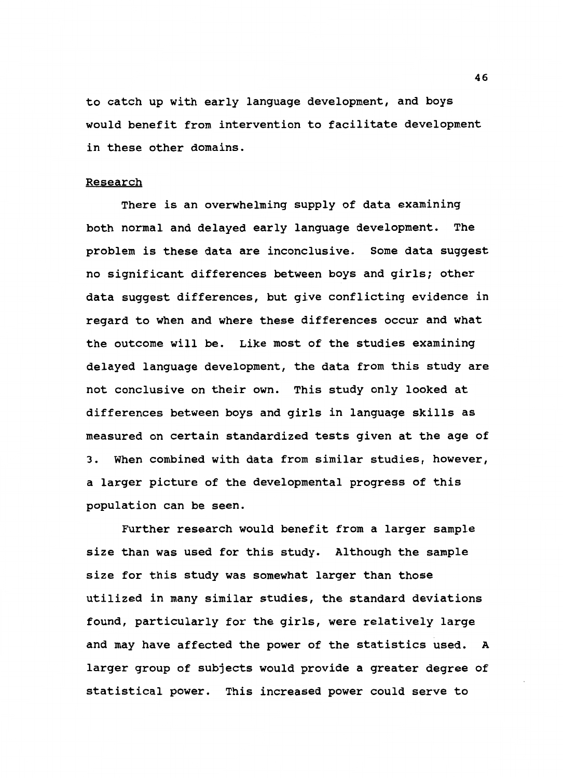to catch up with early language development, and boys would benefit from intervention to facilitate development in these other domains.

#### Research

There is an overwhelming supply of data examining both normal and delayed early language development. The problem is these data are inconclusive. Some data suggest no significant differences between boys and girls; other data suggest differences, but give conflicting evidence in regard to when and where these differences occur and what the outcome will be. Like most of the studies examining delayed language development, the data from this study are not conclusive on their own. This study only looked at differences between boys and girls in language skills as measured on certain standardized tests given at the age of 3. When combined with data from similar studies, however, a larger picture of the developmental progress of this population can be seen.

Further research would benefit from a larger sample size than was used for this study. Although the sample size for this study was somewhat larger than those utilized in many similar studies, the standard deviations found, particularly for the girls, were relatively large and may have affected the power of the statistics used. A larger group of subjects would provide a greater degree of statistical power. This increased power could serve to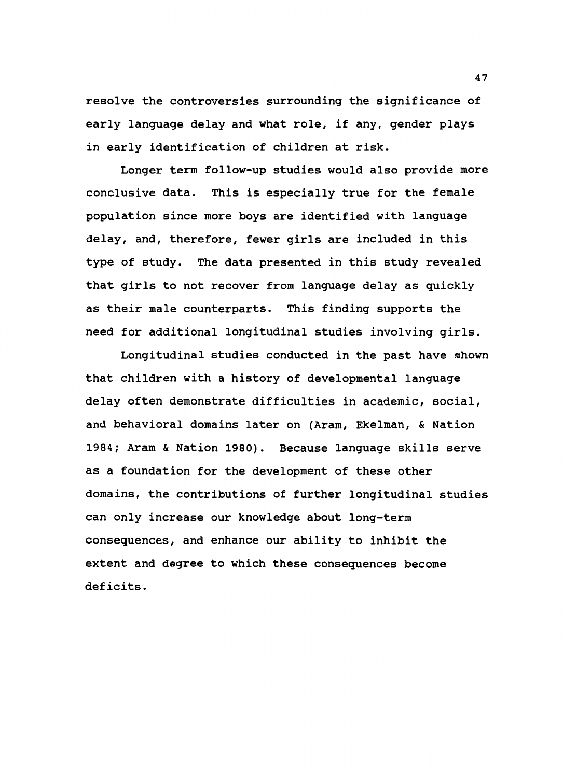resolve the controversies surrounding the significance of early language delay and what role, if any, gender plays in early identification of children at risk.

Longer term follow-up studies would also provide more conclusive data. This is especially true for the female population since more boys are identified with language delay, and, therefore, fewer girls are included in this type of study. The data presented in this study revealed that girls to not recover from language delay as quickly as their male counterparts. This finding supports the need for additional longitudinal studies involving girls.

Longitudinal studies conducted in the past have shown that children with a history of developmental language delay often demonstrate difficulties in academic, social, and behavioral domains later on (Aram, Ekelman, & Nation 1984; Aram & Nation 1980). Because language skills serve as a foundation for the development of these other domains, the contributions of further longitudinal studies can only increase our knowledge about long-term consequences, and enhance our ability to inhibit the extent and degree to which these consequences become deficits.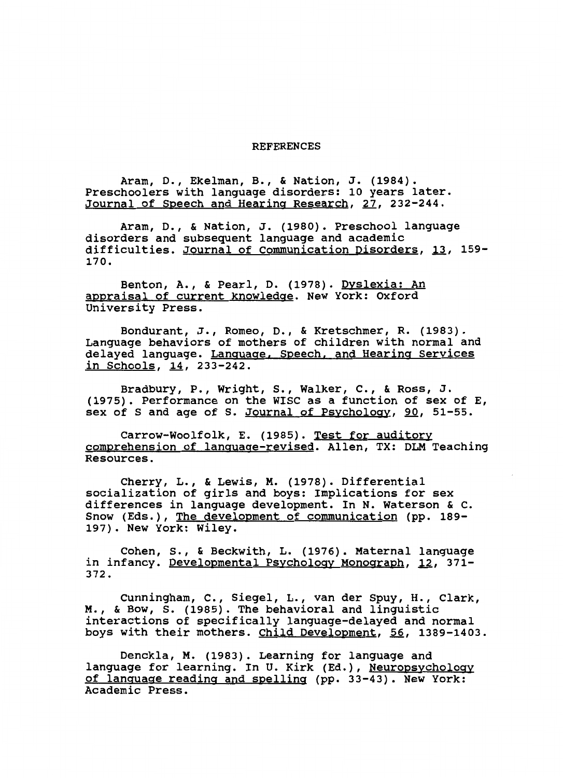#### REFERENCES

Aram, D., Ekelman, B., & Nation, J. (1984). Preschoolers with language disorders: 10 years later. Journal of Speech and Hearing Research, 27, 232-244.

Aram, D., & Nation, J. (1980). Preschool language disorders and subsequent language and academic difficulties. Journal of Communication Disorders, 13, 159- 170.

Benton, A., & Pearl, D. (1978). Dyslexia: An appraisal of current knowledge. New York: Oxford University Press.

Bondurant, J., Romeo, D., & Kretschmer, R. (1983). Language behaviors of mothers of children with normal and delayed language. Language. Speech. and Hearing Services in Schools, 14, 233-242.

Bradbury, P., Wright, s., Walker, c., & Ross, J. (1975). Performance on the WISC as a function of sex of E, sex of S and age of S. <u>Journal of Psychology</u>, <u>90</u>, 51-55.

Carrow-Woolfolk, E. (1985). Test for auditory comprehension of language-revised. Allen, TX: OLM Teaching Resources.

Cherry, L., & Lewis, M. (1978). Differential socialization of girls and boys: Implications for sex differences in language development. In N. Waterson & c. Snow (Eds.), The development of communication (pp. 189- 197). New York: Wiley.

Cohen, s., & Beckwith, L. (1976). Maternal language in infancy. Developmental Psychology Monograph, 12, 371-372.

Cunningham, c., Siegel, L., van der Spuy, H., Clark, M., & Bow, s. (1985). The behavioral and linguistic interactions of specifically language-delayed and normal boys with their mothers. Child Development, 56, 1389-1403.

Denckla, M. (1983). Learning for language and language for learning. In U. Kirk (Ed.), Neuropsychology of language reading and spelling (pp. 33-43). New York: Academic Press.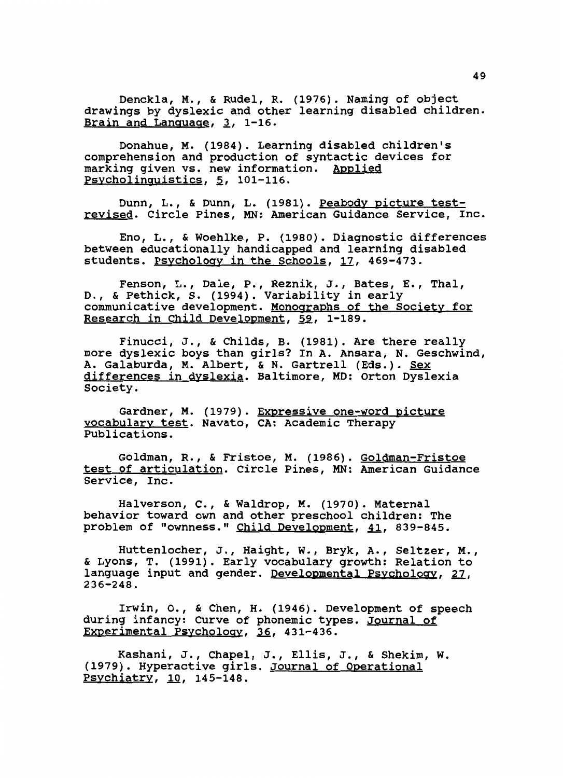Denckla, M., & Rudel, R. (1976). Naming of object drawings by dyslexic and other learning disabled children. Brain and Language,  $3$ , 1-16.

Donahue, M. (1984). Learning disabled children's comprehension and production of syntactic devices for marking given vs. new information. Applied Psycholinguistics, 5, 101-116.

Dunn, L., & Dunn, L. (1981). Peabody picture testrevised. Circle Pines, MN: American Guidance Service, Inc.

Eno, L., & Woehlke, P. (1980). Diagnostic differences between educationally handicapped and learning disabled students. Psychology in the Schools, 17, 469-473.

Fenson, L., Dale, P., Reznik, J., Bates, E., Thal, D., & Pethick, s. (1994). Variability in early communicative development. Monographs of the Society for Research in Child Development, 59, 1-189.

Finucci, J., & Childs, B. (1981). Are there really more dyslexic boys than girls? In A. Ansara, N. Geschwind, A. Galaburda, M. Albert, & N. Gartrell (Eds.). Sex differences in dyslexia. Baltimore, MD: Orton Dyslexia Society.

Gardner, M. (1979). Expressive one-word picture vocabulary test. Navato, CA: Academic Therapy Publications.

Goldman, R., & Fristoe, M. (1986). Goldman-Fristoe test of articulation. Circle Pines, MN: American Guidance Service, Inc.

Halverson, c., & Waldrop, M. (1970). Maternal behavior toward own and other preschool children: The problem of "ownness." Child Development, 41, 839-845.

Huttenlocher, J., Haight, w., Bryk, A., Seltzer, M., & Lyons, T. (1991). Early vocabulary growth: Relation to language input and gender. Developmental Psychology, 27, 236-248.

Irwin, o., & Chen, H. (1946). Development of speech during infancy: Curve of phonemic types. Journal of Experimental Psychology, 36, 431-436.

Kashani, J., Chapel, J., Ellis, J., & Shekim, w. (1979). Hyperactive girls. Journal of Operational Psychiatry, 10, 145-148.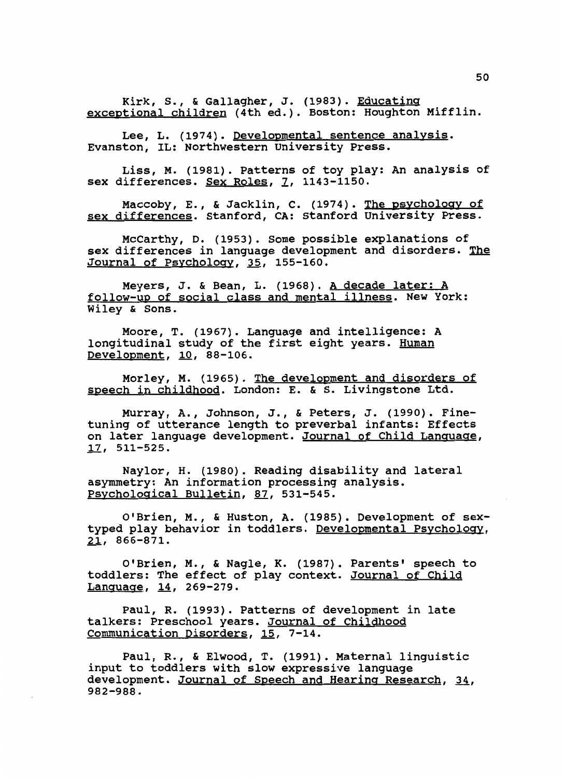Kirk, s., & Gallagher, J. (1983). Educating exceptional children (4th ed.). Boston: Houghton Mifflin.

Lee, L. (1974). Developmental sentence analysis. Evanston, IL: Northwestern University Press.

Liss, M. (1981). Patterns of toy play: An analysis of sex differences. Sex Roles, 7, 1143-1150.

Maccoby, E., & Jacklin, C. (1974). The psychology of sex differences. Stanford, CA: Stanford University Press.

McCarthy, D. (1953). Some possible explanations of sex differences in language development and disorders. The Journal of Psychology, 35, 155-160.

Meyers, J. & Bean, L. (1968). <u>A decade later: A</u> follow-up of social class and mental illness. New York: Wiley & Sons.

Moore, T. (1967). Language and intelligence: A longitudinal study of the first eight years. Human Development, 10, 88-106.

Morley, M. (1965). The development and disorders of speech in childhood. London: E. & S. Livingstone Ltd.

Murray, A., Johnson, J., & Peters, J. (1990). Finetuning of utterance length to preverbal infants: Effects on later language development. Journal of Child Language, 17, 511-525.

Naylor, H. (1980). Reading disability and lateral asymmetry: An information processing analysis. Psychological Bulletin, 87, 531-545.

O'Brien, M., & Huston, A. (1985). Development of sextyped play behavior in toddlers. Developmental Psychology, 21, 866-871.

O'Brien, M., & Nagle, K. (1987). Parents• speech to toddlers: The effect of play context. Journal of Child Language, 14, 269-279.

Paul, R. (1993). Patterns of development in late talkers: Preschool years. Journal of Childhood Communication Disorders, 15, 7-14.

Paul, R., & Elwood, T. (1991). Maternal linguistic input to toddlers with slow expressive language development. Journal of Speech and Hearing Research, 34, 982-988.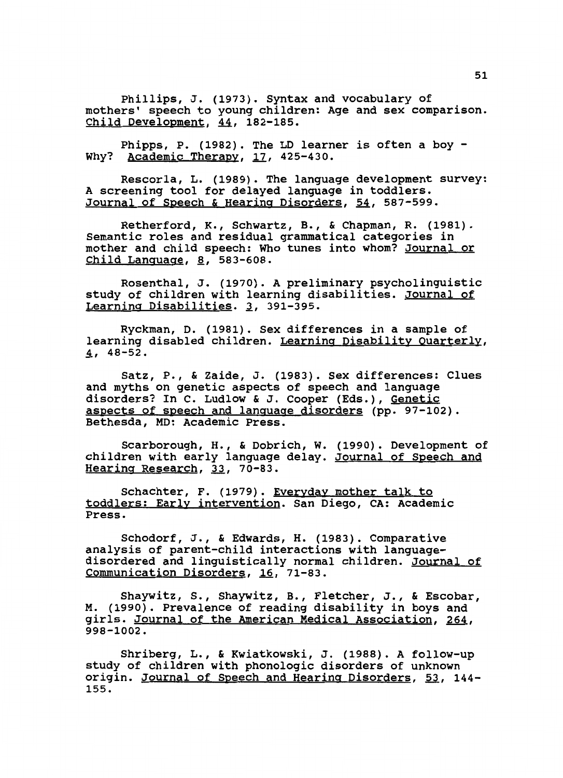Phillips, J. (1973). Syntax and vocabulary of mothers' speech to young children: Age and sex comparison. Child Development, 44, 182-185.

Phipps, P. (1982). The LD learner is often a boy - Why? Academic Therapy, 17, 425-430.

Rescorla, L. (1989). The language development survey: A screening tool for delayed language in toddlers. Journal of Speech & Hearing Disorders, 54, 587-599.

Retherford, K., Schwartz, B., & Chapman, R. (1981). Semantic roles and residual grammatical categories in mother and child speech: Who tunes into whom? Journal or  $Child$  Language,  $8$ , 583-608.

Rosenthal, J. (1970). A preliminary psycholinguistic study of children with learning disabilities. Journal of Learning Disabilities. 3, 391-395.

Ryckman, D. (1981). Sex differences in a sample of learning disabled children. Learning Disability Quarterly,  $4, 48 - 52.$ 

Satz, P., & Zaide, J. (1983). Sex differences: Clues and myths on genetic aspects of speech and language disorders? In C. Ludlow & J. Cooper (Eds.), Genetic aspects of speech and language disorders (pp. 97-102). Bethesda, MD: Academic Press.

Scarborough, H., & Dobrich, w. (1990). Development of children with early language delay. Journal of Speech and Hearing Research, 33, 70-83.

Schachter, F. (1979). <u>Everyday mother talk to</u> toddlers: Early intervention. San Diego, CA: Academic Press.

Schodorf, J., & Edwards, H. (1983). Comparative analysis of parent-child interactions with languagedisordered and linguistically normal children. <u>Journal of</u> Communication Disorders, 16, 71-83.

Shaywitz, s., Shaywitz, B., Fletcher, J., & Escobar, M. (1990). Prevalence of reading disability in boys and girls. Journal of the American Medical Association, 264, 998-1002.

Shriberg, L., & Kwiatkowski, J. (1988). A follow-up study of children with phonologic disorders of unknown origin. Journal of Speech and Hearing Disorders, 53, 144- 155.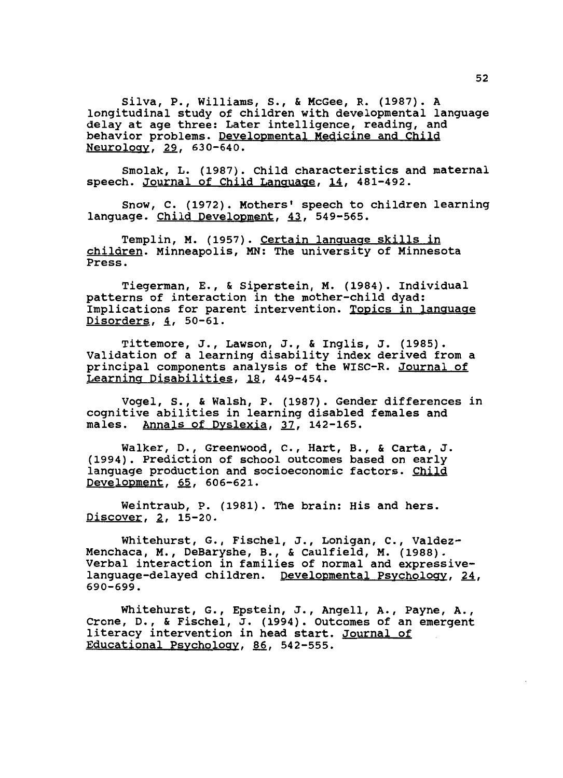Silva, P., Williams, s., & McGee, R. (1987). A longitudinal study of children with developmental language delay at age three: Later intelligence, reading, and behavior problems. Developmental Medicine and Child Neurology, 29, 630-640.

Smolak, L. (1987). Child characteristics and maternal speech. Journal of Child Language, 14, 481-492.

Snow, c. (1972). Mothers' speech to children learning language. Child Development, 43, 549-565.

Templin, M. (1957). Certain lanquage skills in children. Minneapolis, MN: The university of Minnesota Press.

Tiegerman, E., & Siperstein, M. (1984). Individual patterns of interaction in the mother-child dyad: Implications for parent intervention. Topics in language  $Disorders, 4, 50-61.$ 

Tittemore, J., Lawson, J., & Inglis, J. (1985). Validation of a learning disability index derived from a principal components analysis of the WISC-R. Journal of Learning Disabilities, 18, 449-454.

Vogel, s., & Walsh, P. (1987). Gender differences in cognitive abilities in learning disabled females and males. Annals of Dyslexia, 37, 142-165.

Walker, D., Greenwood, c., Hart, B., & Carta, J. (1994). Prediction of school outcomes based on early language production and socioeconomic factors. Child Development, 65, 606-621.

Weintraub, P. (1981). The brain: His and hers.  $Discover, 2, 15-20.$ 

Whitehurst, G., Fischel, J., Lonigan, c., Valdez-Menchaca, M., DeBaryshe, B., & Caulfield, M. (1988). Verbal interaction in families of normal and expressivelanguage-delayed children. Developmental Psychology, 24, 690-699.

Whitehurst, G., Epstein, J., Angell, A., Payne, A., Crone, D., & Fischel, J. (1994). outcomes of an emergent literacy intervention in head start. Journal of Educational Psychology, 86, 542-555.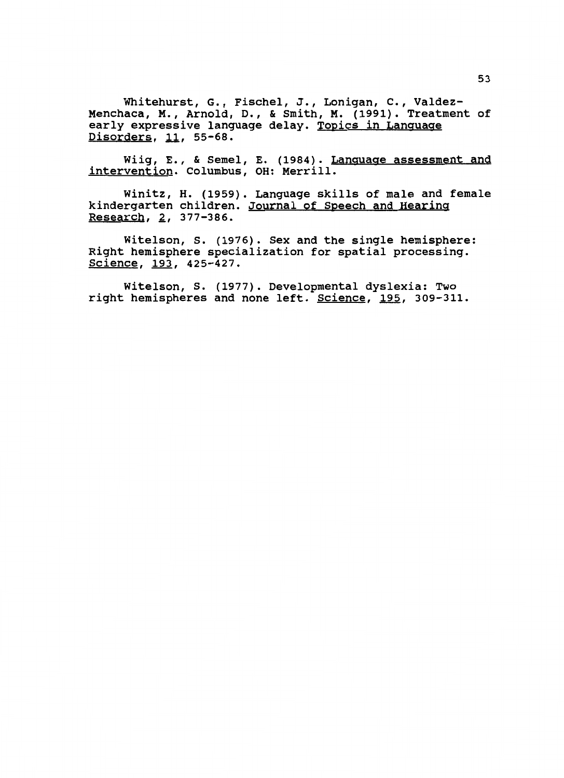Whitehurst, G., Fischel, J., Lenigan, c., Valdez-Menchaca, M., Arnold, D., & Smith, M. (1991). Treatment of early expressive language delay. Topics in Language Disorders, 11, 55-68.

Wiig, E., & Semel, E. (1984). Language assessment and intervention. Columbus, OH: Merrill.

Winitz, H. (1959). Language skills of male and female kindergarten children. Journal of Speech and Hearing Research, 2, 377-386.

Witelson, s. (1976). Sex and the single hemisphere: Right hemisphere specialization for spatial processing. Science, 193, 425-427.

Witelson, s. (1977). Developmental dyslexia: Two right hemispheres and none left. Science, 195, 309-311.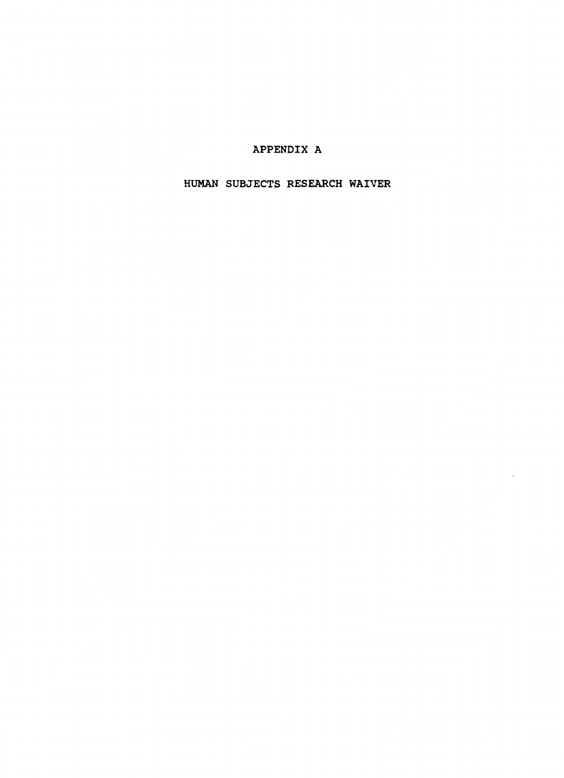## APPENDIX A

HUMAN SUBJECTS RESEARCH WAIVER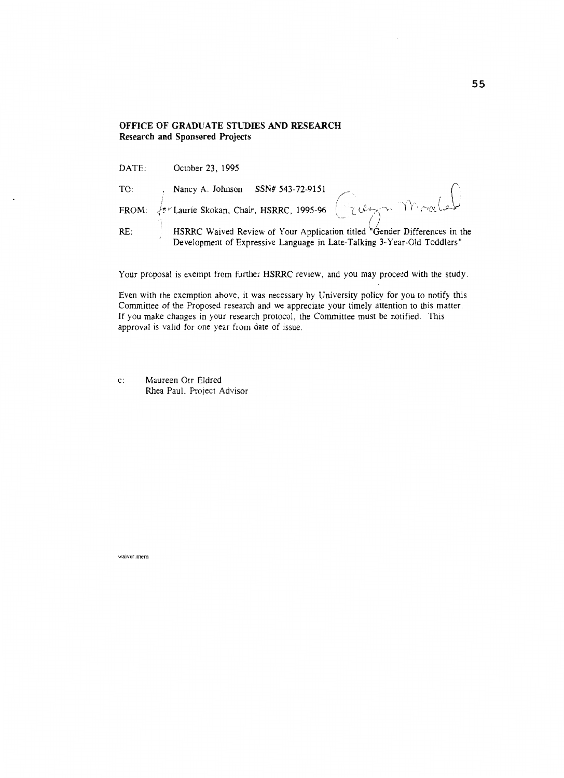## **OFFICE OF GRADUATE STUDIES AND RESEARCH Research and Sponsored Projects**

| DATE: | October 23, 1995                                                                                                                                                         |
|-------|--------------------------------------------------------------------------------------------------------------------------------------------------------------------------|
| TO:   |                                                                                                                                                                          |
| FROM: | for Laurie Skokan, Chair, HSRRC, 1995-96 (Lery Morale                                                                                                                    |
| RE:   | HSRRC Waived Review of Your Application titled $\sqrt{\frac{1}{2}}$ Gender Differences in the<br>Development of Expressive Language in Late-Talking 3-Year-Old Toddlers" |

Your proposal is exempt from further HSRRC review, and you may proceed with the study.

Even with the exemption above, it was necessary by University policy for you to notify this Committee of the Proposed research and we appreciate your timely attention to this matter. If you make changes in your research protocol, the Committee must be notified. This approval is valid for one year from date of issue.

c: Maureen Orr Eldred Rhea PauL Project Advisor

**waiver.mem**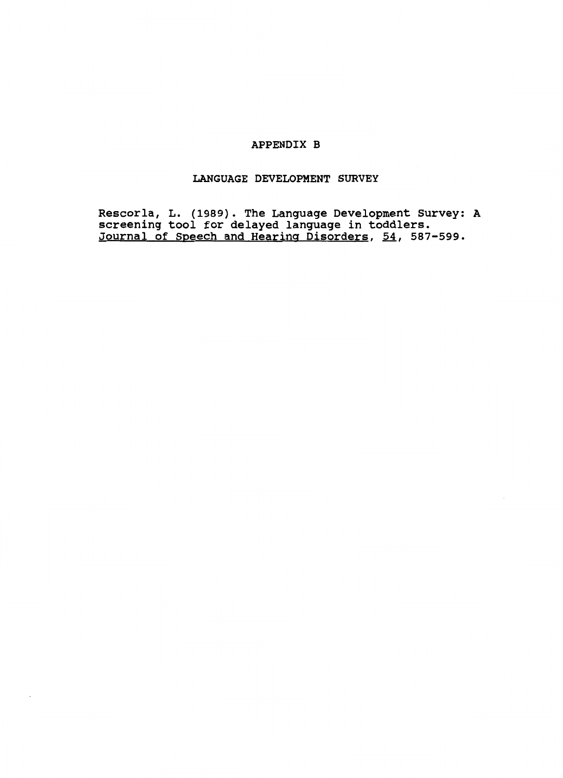## APPENDIX B

## LANGUAGE DEVELOPMENT SURVEY

Rescorla, L. (1989). The Language Development Survey: A screening tool for delayed language in toddlers. Journal of Speech and Hearing Disorders, 54, 587-599.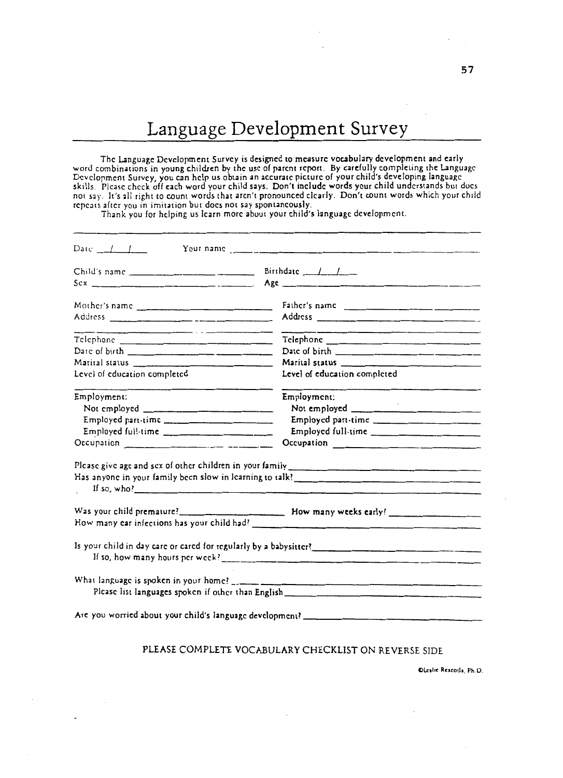# Language Development Survey

The Language Development Survey is designed to measure vocabulary development and early word combinations in young children by the use of parent report. By carefully completing the Language Development Survey, you can help us obtain an accurate picture of your child's developing language skills. Please check off each word your child says. Don't include words your child understands but docs not say. It's all right to count words that aren't pronounced clearly. Don't count words which your child repeats after you in imitation but docs not say spontaneously.

Thank you for helping us learn more about your child's language development.

| Mother's name                                                                                                                                                                                                                                                                                                      | Father's name                                                     |
|--------------------------------------------------------------------------------------------------------------------------------------------------------------------------------------------------------------------------------------------------------------------------------------------------------------------|-------------------------------------------------------------------|
|                                                                                                                                                                                                                                                                                                                    |                                                                   |
|                                                                                                                                                                                                                                                                                                                    |                                                                   |
| Date of birth $\frac{1}{2}$ $\frac{1}{2}$ $\frac{1}{2}$ $\frac{1}{2}$ $\frac{1}{2}$ $\frac{1}{2}$ $\frac{1}{2}$ $\frac{1}{2}$ $\frac{1}{2}$ $\frac{1}{2}$ $\frac{1}{2}$ $\frac{1}{2}$ $\frac{1}{2}$ $\frac{1}{2}$ $\frac{1}{2}$ $\frac{1}{2}$ $\frac{1}{2}$ $\frac{1}{2}$ $\frac{1}{2}$ $\frac{1}{2}$ $\frac{1}{2$ |                                                                   |
|                                                                                                                                                                                                                                                                                                                    |                                                                   |
| Level of education completed                                                                                                                                                                                                                                                                                       | Level of education completed                                      |
| Employment:                                                                                                                                                                                                                                                                                                        | Employment:                                                       |
|                                                                                                                                                                                                                                                                                                                    |                                                                   |
| Employed part-time                                                                                                                                                                                                                                                                                                 | Employed part-time                                                |
| Employed full-time __________________________                                                                                                                                                                                                                                                                      | Employed full-time                                                |
|                                                                                                                                                                                                                                                                                                                    |                                                                   |
|                                                                                                                                                                                                                                                                                                                    |                                                                   |
|                                                                                                                                                                                                                                                                                                                    |                                                                   |
|                                                                                                                                                                                                                                                                                                                    |                                                                   |
|                                                                                                                                                                                                                                                                                                                    |                                                                   |
|                                                                                                                                                                                                                                                                                                                    |                                                                   |
|                                                                                                                                                                                                                                                                                                                    |                                                                   |
|                                                                                                                                                                                                                                                                                                                    | Is your child in day care or cared for regularly by a babysitter? |
|                                                                                                                                                                                                                                                                                                                    |                                                                   |
|                                                                                                                                                                                                                                                                                                                    |                                                                   |

## PLEASE COMPLETE VOCABULARY CHECKLIST ON REVERSE SIDE

Oleslie Rescorla. Ph.D.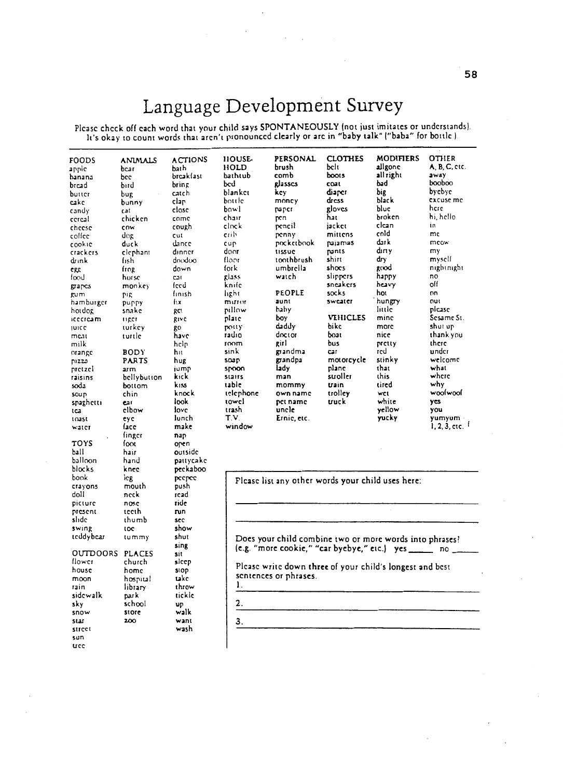# Language Development Survey

 $\overline{\phantom{a}}$ 

 $\mathcal{F}_{\text{max}}$  .

Please check off each word that your child says SPONTANEOUSLY lnot just imitates or understands). It's okay to count words that aren't pronounced clearly or are in "baby talk" ("baba" for bottle ).

| FOODS<br>appic  | <b>ANIMALS</b><br>bear | <b>ACTIONS</b><br>bath | <b>HOUSE</b><br>HOLD | PERSONAL<br>brush                                            | <b>CLOTHES</b><br>belt | <b>MODIFIERS</b><br>allgone<br>all right | <b>OTHER</b><br>A, B, C, etc.<br>away |
|-----------------|------------------------|------------------------|----------------------|--------------------------------------------------------------|------------------------|------------------------------------------|---------------------------------------|
| hanana          | bcc                    | breakfast              | bathtub              | comb<br>glasses                                              | boots<br>coat          | bad                                      | poopoo                                |
| brcad           | bird                   | pring                  | bed<br>blankct       | key                                                          | diaper                 | big                                      | bycbyc                                |
| butter          | bug                    | catch                  |                      |                                                              | dress                  | black                                    | excuse me                             |
| cake            | bunny                  | clar                   | bottle<br>bowl       | money<br>paper                                               | gloves                 | bluc                                     | here                                  |
| candy           | Cat                    | close                  | chair                |                                                              | hat                    | broken                                   | hi, hello                             |
| cercal          | chicken                | come                   | clock                | pen<br>pencil                                                | jacket                 | clcan                                    | in                                    |
| cheese          | cow                    | cough                  | crib                 | penny                                                        | mittens                | cold                                     | mc                                    |
| colíce          | dog                    | cut                    |                      | pocketbook                                                   | pajamas                | dark                                     | mcow                                  |
| cookie          | duck                   | dance                  | cup<br>door          | tissue                                                       | pants                  | dırıy                                    | my                                    |
| crackers        | clephant               | dinner                 | floor                | toothbrush                                                   | shirt                  | dry                                      | myself                                |
| dunk            | fish                   | dnodoo<br>down         | fork                 | umbrella                                                     | shocs                  | good                                     | nightnight                            |
| ere             | frog                   |                        | giass                | watch                                                        | slippers               | happy                                    | no                                    |
| food            | horse                  | Cat<br>feed            | knife                |                                                              | sneakers               | heavy                                    | oll                                   |
| grapes          | monkey                 | finish                 | light                | PEOPLE                                                       | socks                  | hot                                      | nn                                    |
| gum             | <b>PIR</b>             | fıx                    | muror                | aunt                                                         | sweater                | hungry                                   | OUI                                   |
| hamburger       | puppy                  | gct                    | nillow               | haby                                                         |                        | littic                                   | picase                                |
| hotdog          | snake                  | give                   | plate                | boy                                                          | VEHICLES               | mine                                     | Sesame St.                            |
| icecream        | <b>HIRCT</b>           |                        | potty                | daddy                                                        | bike                   | more                                     | shut up                               |
| <b>JUICC</b>    | turkey                 | go<br>have             | radio                | doctor                                                       | boat                   | nice                                     | thank you                             |
| meat<br>milk    | turtle                 | pcjb                   | room                 | girl                                                         | bus                    | pretty                                   | there                                 |
|                 | <b>BODY</b>            | h١t                    | sink                 | grandma                                                      | Car                    | red                                      | under                                 |
| orange<br>pizza | PARTS                  | hug                    | <b>SO3P</b>          | grandpa                                                      | motorcycle             | stinky                                   | welcome                               |
| pretzel         | arm                    | jump                   | spoon                | iady                                                         | plane                  | that                                     | what                                  |
| raisins         | bellybutton            | kick                   | stairs               | man                                                          | stroller               | this                                     | where                                 |
| soda            | bottom                 | kiss                   | table                | mommy                                                        | train                  | tired                                    | why                                   |
| soup            | chin                   | knock                  | telephone            | own name                                                     | trolley                | wct                                      | woolwool                              |
| spaghetti       | ear                    | look                   | towel                | pet name                                                     | truck                  | white                                    | yes                                   |
| tca             | clbow                  | love                   | trash                | uncle                                                        |                        | yellow                                   | you                                   |
| toast           | eyc                    | lunch                  | T.V.                 | Ernie, etc.                                                  |                        | yucky                                    | yumyum -                              |
| water           | face                   | make                   | window               |                                                              |                        |                                          | $1, 2, 3,$ etc. $1$                   |
|                 | finger                 | nap                    |                      |                                                              |                        |                                          |                                       |
| TOYS            | foot                   | open                   |                      |                                                              |                        |                                          |                                       |
| ball            | hair                   | outside                |                      |                                                              |                        |                                          |                                       |
| balloon         | hand                   | pattycake              |                      |                                                              |                        |                                          |                                       |
| blocks          | knec                   | peckaboo               |                      |                                                              |                        |                                          |                                       |
| book            | lcg                    | peepee                 |                      | Please list any other words your child uses here:            |                        |                                          |                                       |
| crayons         | mouth                  | push                   |                      |                                                              |                        |                                          |                                       |
| doli            | neck                   | rcad                   |                      |                                                              |                        |                                          |                                       |
| picture         | nosc                   | ride                   |                      |                                                              |                        |                                          |                                       |
| present         | teeth                  | nın                    |                      |                                                              |                        |                                          |                                       |
| slide           | thumb                  | sec                    |                      |                                                              |                        |                                          |                                       |
| swing           | toc                    | show                   |                      |                                                              |                        |                                          |                                       |
| teddybear       | tummy                  | shut                   |                      | Does your child combine two or more words into phrases?      |                        |                                          |                                       |
|                 |                        | sing                   |                      | (e.g. "more cookie," "car byebye," etc.) yes _______ no ____ |                        |                                          |                                       |
| OUTDOORS        | <b>PLACES</b>          | sit                    |                      |                                                              |                        |                                          |                                       |
| flower          | church                 | sicep                  |                      |                                                              |                        |                                          |                                       |
| house           | home                   | stop                   |                      | Please write down three of your child's longest and best     |                        |                                          |                                       |
| moon            | hospital               | take                   |                      | sentences or phrases.                                        |                        |                                          |                                       |
| rain            | library                | throw                  | 1.                   |                                                              |                        |                                          |                                       |
| sidewalk        | par k                  | tickle                 |                      |                                                              |                        |                                          |                                       |
| sky             | school                 | υp                     | 2.                   |                                                              |                        |                                          |                                       |
| snow            | store                  | walk                   |                      |                                                              |                        |                                          |                                       |
| star            | 200                    | want                   | З.                   |                                                              |                        |                                          |                                       |
| street          |                        | wash                   |                      |                                                              |                        |                                          |                                       |
| sun             |                        |                        |                      |                                                              |                        |                                          |                                       |
| tree            |                        |                        |                      |                                                              |                        |                                          |                                       |
|                 |                        |                        |                      |                                                              |                        |                                          |                                       |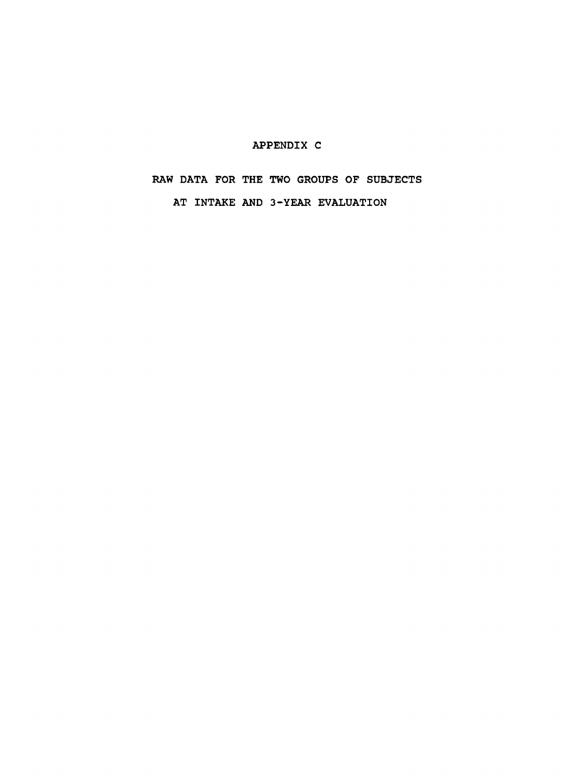## APPENDIX C

# RAW DATA FOR THE TWO GROUPS OF SUBJECTS AT INTAKE AND 3-YEAR EVALUATION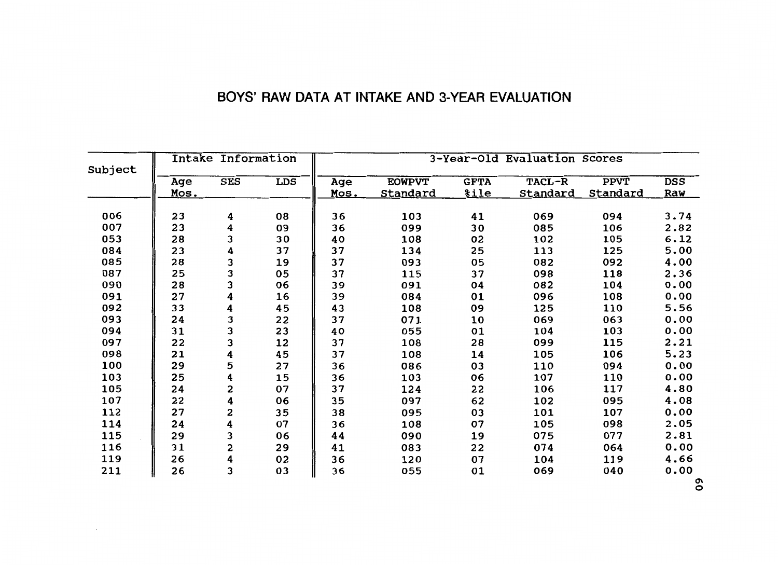| BOYS' RAW DATA AT INTAKE AND 3-YEAR EVALUATION |
|------------------------------------------------|
|------------------------------------------------|

| Subject | Intake Information |            |            | 3-Year-Old Evaluation Scores |                 |             |                 |             |            |
|---------|--------------------|------------|------------|------------------------------|-----------------|-------------|-----------------|-------------|------------|
|         | Age                | <b>SES</b> | <b>LDS</b> | Age                          | <b>EOWPVT</b>   | <b>GFTA</b> | TACL-R          | <b>PPVT</b> | <b>DSS</b> |
|         | Mos.               |            |            | Mos.                         | <b>Standard</b> | <u>%ile</u> | <b>Standard</b> | Standard    | Raw        |
|         |                    |            |            |                              |                 |             |                 |             |            |
| 006     | 23                 | 4          | 08         | 36                           | 103             | 41          | 069             | 094         | 3.74       |
| 007     | 23                 | 4          | 09         | 36                           | 099             | 30          | 085             | 106         | 2.82       |
| 053     | 28                 | 3          | 30         | 40                           | 108             | 02          | 102             | 105         | 6.12       |
| 084     | 23                 | 4          | 37         | 37                           | 134             | 25          | 113             | 125         | 5.00       |
| 085     | 28                 | 3          | 19         | 37                           | 093             | 05          | 082             | 092         | 4.00       |
| 087     | 25                 | 3          | 05         | 37                           | 115             | 37          | 098             | 118         | 2.36       |
| 090     | 28                 | 3          | 06         | 39                           | 091             | 04          | 082             | 104         | 0.00       |
| 091     | 27                 | 4          | 16         | 39                           | 084             | 01          | 096             | 108         | 0.00       |
| 092     | 33                 | 4          | 45         | 43                           | 108             | 09          | 125             | 110         | 5.56       |
| 093     | 24                 | 3          | 22         | 37                           | 071             | 10          | 069             | 063         | 0.00       |
| 094     | 31                 | 3          | 23         | 40                           | 055             | 01          | 104             | 103         | 0.00       |
| 097     | 22                 | 3          | 12         | 37                           | 108             | 28          | 099             | 115         | 2.21       |
| 098     | 21                 | 4          | 45         | 37                           | 108             | 14          | 105             | 106         | 5.23       |
| 100     | 29                 | 5          | 27         | 36                           | 086             | 03          | 110             | 094         | 0.00       |
| 103     | 25                 | 4          | 15         | 36                           | 103             | 06          | 107             | 110         | 0.00       |
| 105     | 24                 | 2          | 07         | 37                           | 124             | 22          | 106             | 117         | 4.80       |
| 107     | 22                 | 4          | 06         | 35                           | 097             | 62          | 102             | 095         | 4.08       |
| 112     | 27                 | 2          | 35         | 38                           | 095             | 03          | 101             | 107         | 0.00       |
| 114     | 24                 | 4          | 07         | 36                           | 108             | 07          | 105             | 098         | 2.05       |
| 115     | 29                 | 3          | 06         | 44                           | 090             | 19          | 075             | 077         | 2.81       |
| 116     | 31                 | 2          | 29         | 41                           | 083             | 22          | 074             | 064         | 0.00       |
| 119     | 26                 | 4          | 02         | 36                           | 120             | 07          | 104             | 119         | 4.66       |
|         |                    |            |            |                              |                 |             |                 |             |            |
| 211     | 26                 | 3          | 03         | 36                           | 055             | 01          | 069             | 040         | 0.00       |

 $\sim 10^{-11}$ 

*0\*  0